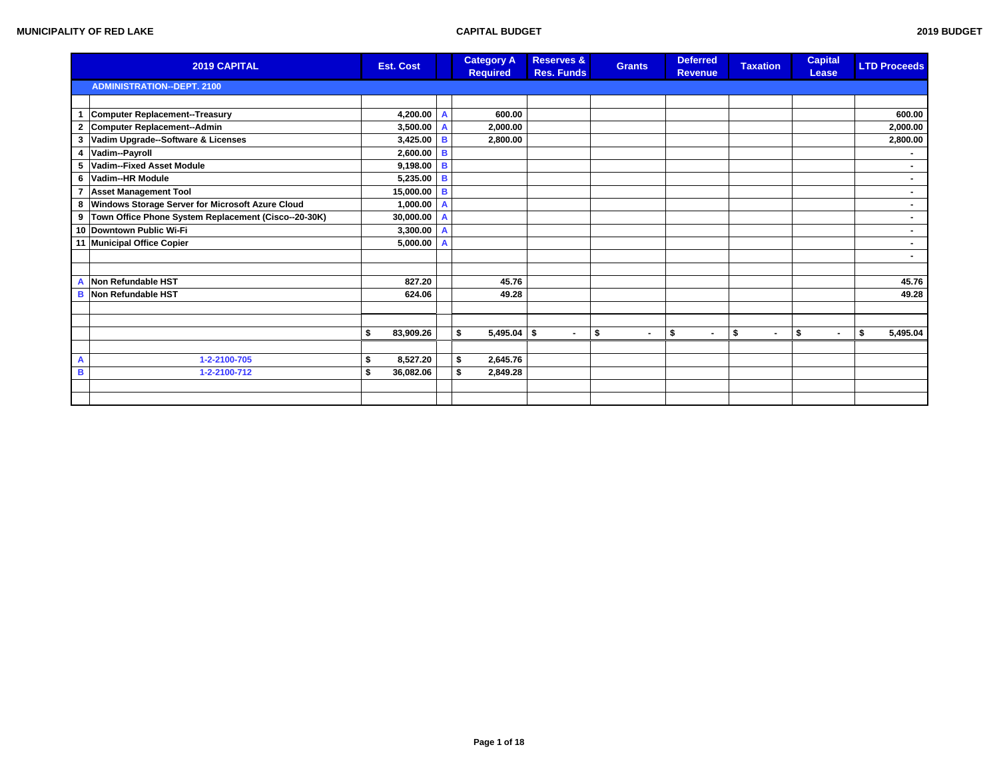|              | 2019 CAPITAL                                             | <b>Est. Cost</b> |                | <b>Category A</b><br><b>Required</b> | <b>Reserves &amp;</b><br><b>Res. Funds</b> | <b>Grants</b>        | <b>Deferred</b><br><b>Revenue</b> | <b>Taxation</b>      | <b>Capital</b><br>Lease | <b>LTD Proceeds</b> |
|--------------|----------------------------------------------------------|------------------|----------------|--------------------------------------|--------------------------------------------|----------------------|-----------------------------------|----------------------|-------------------------|---------------------|
|              | <b>ADMINISTRATION--DEPT. 2100</b>                        |                  |                |                                      |                                            |                      |                                   |                      |                         |                     |
|              |                                                          |                  |                |                                      |                                            |                      |                                   |                      |                         |                     |
| $\mathbf{1}$ | Computer Replacement--Treasury                           | 4,200.00 A       |                | 600.00                               |                                            |                      |                                   |                      |                         | 600.00              |
|              | 2 Computer Replacement--Admin                            | $3,500.00$ A     |                | 2,000.00                             |                                            |                      |                                   |                      |                         | 2,000.00            |
| 3            | Vadim Upgrade--Software & Licenses                       | $3,425.00$ B     |                | 2,800.00                             |                                            |                      |                                   |                      |                         | 2,800.00            |
|              | 4 Vadim--Payroll                                         | $2,600.00$ B     |                |                                      |                                            |                      |                                   |                      |                         | $\sim$              |
|              | 5 Vadim--Fixed Asset Module                              | $9,198.00$ B     |                |                                      |                                            |                      |                                   |                      |                         | ٠.                  |
|              | 6 Vadim--HR Module                                       | 5,235.00 B       |                |                                      |                                            |                      |                                   |                      |                         | $\sim$              |
|              | 7 Asset Management Tool                                  | 15,000.00 B      |                |                                      |                                            |                      |                                   |                      |                         | $\blacksquare$      |
|              | 8 Windows Storage Server for Microsoft Azure Cloud       | 1,000.00         | $\overline{A}$ |                                      |                                            |                      |                                   |                      |                         | $\sim$              |
|              | 9   Town Office Phone System Replacement (Cisco--20-30K) | 30,000.00 A      |                |                                      |                                            |                      |                                   |                      |                         |                     |
|              | 10 Downtown Public Wi-Fi                                 | $3,300.00$ A     |                |                                      |                                            |                      |                                   |                      |                         | $\blacksquare$      |
|              | 11 Municipal Office Copier                               | 5,000.00         | $\overline{A}$ |                                      |                                            |                      |                                   |                      |                         | $\sim$              |
|              |                                                          |                  |                |                                      |                                            |                      |                                   |                      |                         | $\sim$              |
|              |                                                          |                  |                |                                      |                                            |                      |                                   |                      |                         |                     |
| А            | Non Refundable HST                                       | 827.20           |                | 45.76                                |                                            |                      |                                   |                      |                         | 45.76               |
| в            | Non Refundable HST                                       | 624.06           |                | 49.28                                |                                            |                      |                                   |                      |                         | 49.28               |
|              |                                                          |                  |                |                                      |                                            |                      |                                   |                      |                         |                     |
|              |                                                          |                  |                |                                      |                                            |                      |                                   |                      |                         |                     |
|              |                                                          | 83,909.26<br>\$  |                | $5,495.04$ \$<br>\$                  | $\sim$                                     | \$<br>$\blacksquare$ | \$<br>$\blacksquare$              | \$<br>$\blacksquare$ | \$<br>$\blacksquare$    | \$<br>5,495.04      |
|              |                                                          |                  |                |                                      |                                            |                      |                                   |                      |                         |                     |
| A            | 1-2-2100-705                                             | 8,527.20<br>\$   |                | 2,645.76<br>\$                       |                                            |                      |                                   |                      |                         |                     |
| в            | 1-2-2100-712                                             | 36,082.06        |                | 2,849.28<br>\$                       |                                            |                      |                                   |                      |                         |                     |
|              |                                                          |                  |                |                                      |                                            |                      |                                   |                      |                         |                     |
|              |                                                          |                  |                |                                      |                                            |                      |                                   |                      |                         |                     |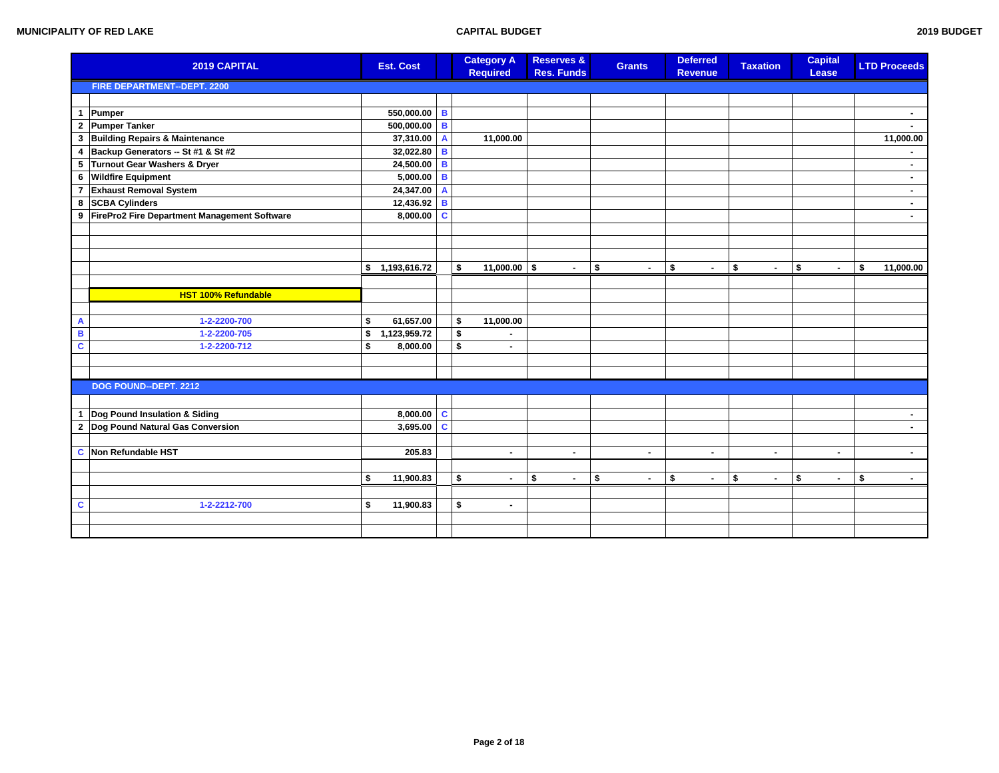|   | 2019 CAPITAL                                   | <b>Est. Cost</b>   |                | <b>Category A</b><br><b>Required</b> | <b>Reserves &amp;</b><br><b>Res. Funds</b> | <b>Grants</b>        | <b>Deferred</b><br><b>Revenue</b> | <b>Taxation</b>      | <b>Capital</b><br>Lease | <b>LTD Proceeds</b>      |
|---|------------------------------------------------|--------------------|----------------|--------------------------------------|--------------------------------------------|----------------------|-----------------------------------|----------------------|-------------------------|--------------------------|
|   | FIRE DEPARTMENT--DEPT. 2200                    |                    |                |                                      |                                            |                      |                                   |                      |                         |                          |
|   |                                                |                    |                |                                      |                                            |                      |                                   |                      |                         |                          |
|   | 1 Pumper                                       | 550,000.00         | $\overline{B}$ |                                      |                                            |                      |                                   |                      |                         | $\sim$                   |
|   | 2 Pumper Tanker                                | 500,000.00 B       |                |                                      |                                            |                      |                                   |                      |                         |                          |
|   | 3 Building Repairs & Maintenance               | 37,310.00          | $\mathbf{A}$   | 11,000.00                            |                                            |                      |                                   |                      |                         | 11,000.00                |
|   | 4 Backup Generators -- St #1 & St #2           | 32,022.80          | B              |                                      |                                            |                      |                                   |                      |                         |                          |
|   | 5 Turnout Gear Washers & Dryer                 | 24,500.00          | $\mathbf{B}$   |                                      |                                            |                      |                                   |                      |                         | $\blacksquare$           |
|   | 6 Wildfire Equipment                           | 5,000.00           | $\overline{B}$ |                                      |                                            |                      |                                   |                      |                         | $\blacksquare$           |
|   | 7 Exhaust Removal System                       | 24,347.00          | $\mathbf{A}$   |                                      |                                            |                      |                                   |                      |                         | $\sim$                   |
|   | 8 SCBA Cylinders                               | 12,436.92          | B              |                                      |                                            |                      |                                   |                      |                         | $\overline{\phantom{a}}$ |
|   | 9 FirePro2 Fire Department Management Software | 8,000.00           | $\mathbf{C}$   |                                      |                                            |                      |                                   |                      |                         | $\blacksquare$           |
|   |                                                |                    |                |                                      |                                            |                      |                                   |                      |                         |                          |
|   |                                                |                    |                |                                      |                                            |                      |                                   |                      |                         |                          |
|   |                                                |                    |                |                                      |                                            |                      |                                   |                      |                         |                          |
|   |                                                | \$1,193,616.72     |                | \$<br>$11,000.00$ \$                 | $\sim$                                     | \$<br>$\blacksquare$ | \$<br>$\sim$                      | \$<br>$\blacksquare$ | \$<br>$\sim$            | \$<br>11,000.00          |
|   |                                                |                    |                |                                      |                                            |                      |                                   |                      |                         |                          |
|   | <b>HST 100% Refundable</b>                     |                    |                |                                      |                                            |                      |                                   |                      |                         |                          |
|   |                                                |                    |                |                                      |                                            |                      |                                   |                      |                         |                          |
| A | 1-2-2200-700                                   | \$<br>61,657.00    |                | \$<br>11,000.00                      |                                            |                      |                                   |                      |                         |                          |
| B | 1-2-2200-705                                   | \$<br>1,123,959.72 |                | \$                                   |                                            |                      |                                   |                      |                         |                          |
| C | 1-2-2200-712                                   | \$<br>8,000.00     |                | \$<br>$\blacksquare$                 |                                            |                      |                                   |                      |                         |                          |
|   |                                                |                    |                |                                      |                                            |                      |                                   |                      |                         |                          |
|   |                                                |                    |                |                                      |                                            |                      |                                   |                      |                         |                          |
|   | DOG POUND--DEPT. 2212                          |                    |                |                                      |                                            |                      |                                   |                      |                         |                          |
|   |                                                |                    |                |                                      |                                            |                      |                                   |                      |                         |                          |
|   | 1  Dog Pound Insulation & Siding               | 8,000.00           | $\mathbf{C}$   |                                      |                                            |                      |                                   |                      |                         | $\blacksquare$           |
|   | 2 Dog Pound Natural Gas Conversion             | 3,695.00           | $\mathbf c$    |                                      |                                            |                      |                                   |                      |                         | $\blacksquare$           |
|   |                                                |                    |                |                                      |                                            |                      |                                   |                      |                         |                          |
|   | <b>C</b> Non Refundable HST                    | 205.83             |                | $\sim$                               | $\blacksquare$                             | $\blacksquare$       | $\blacksquare$                    | $\blacksquare$       | $\blacksquare$          | $\sim$                   |
|   |                                                |                    |                |                                      |                                            |                      |                                   |                      |                         |                          |
|   |                                                | \$<br>11,900.83    |                | \$<br>$\sim$                         | \$<br>$\sim$                               | \$<br>$\blacksquare$ | \$<br>$\blacksquare$              | \$<br>$\blacksquare$ | \$<br>$\blacksquare$    | \$<br>$\sim$             |
|   |                                                |                    |                |                                      |                                            |                      |                                   |                      |                         |                          |
| C | 1-2-2212-700                                   | \$<br>11,900.83    |                | \$<br>$\sim$                         |                                            |                      |                                   |                      |                         |                          |
|   |                                                |                    |                |                                      |                                            |                      |                                   |                      |                         |                          |
|   |                                                |                    |                |                                      |                                            |                      |                                   |                      |                         |                          |
|   |                                                |                    |                |                                      |                                            |                      |                                   |                      |                         |                          |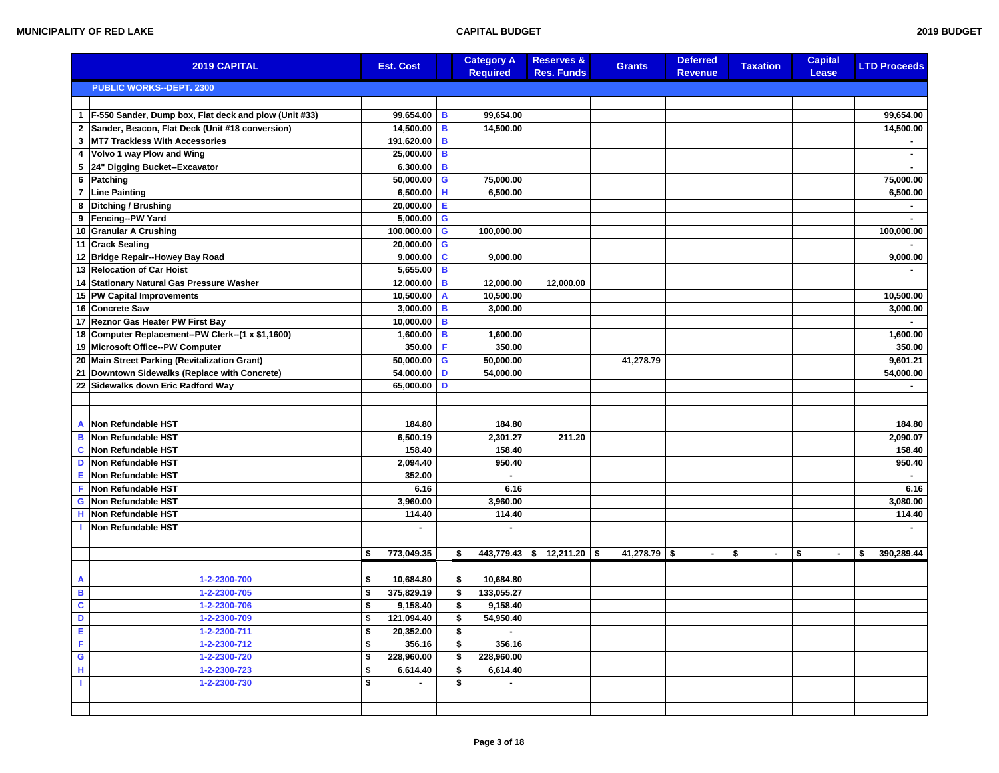|                | 2019 CAPITAL                                          | <b>Est. Cost</b>     |              | <b>Category A</b><br><b>Required</b> | <b>Reserves &amp;</b><br><b>Res. Funds</b> | <b>Grants</b>         | <b>Deferred</b><br><b>Revenue</b> | <b>Taxation</b>      | <b>Capital</b><br>Lease | <b>LTD Proceeds</b> |
|----------------|-------------------------------------------------------|----------------------|--------------|--------------------------------------|--------------------------------------------|-----------------------|-----------------------------------|----------------------|-------------------------|---------------------|
|                | <b>PUBLIC WORKS--DEPT. 2300</b>                       |                      |              |                                      |                                            |                       |                                   |                      |                         |                     |
|                |                                                       |                      |              |                                      |                                            |                       |                                   |                      |                         |                     |
| $\mathbf{1}$   | F-550 Sander, Dump box, Flat deck and plow (Unit #33) | 99,654.00            | в            | 99,654.00                            |                                            |                       |                                   |                      |                         | 99,654.00           |
| $\mathbf{2}$   | Sander, Beacon, Flat Deck (Unit #18 conversion)       | 14,500.00 B          |              | 14,500.00                            |                                            |                       |                                   |                      |                         | 14,500.00           |
| $\mathbf{3}$   | <b>MT7 Trackless With Accessories</b>                 | 191,620.00 B         |              |                                      |                                            |                       |                                   |                      |                         |                     |
| 4              | Volvo 1 way Plow and Wing                             | 25,000.00 B          |              |                                      |                                            |                       |                                   |                      |                         |                     |
|                | 5 24" Digging Bucket--Excavator                       | 6,300.00 B           |              |                                      |                                            |                       |                                   |                      |                         |                     |
| 6              | Patching                                              | $50,000.00$ G        |              | 75,000.00                            |                                            |                       |                                   |                      |                         | 75,000.00           |
| $\overline{7}$ | <b>Line Painting</b>                                  | $6,500.00$ H         |              | 6,500.00                             |                                            |                       |                                   |                      |                         | 6,500.00            |
| 8              | Ditching / Brushing                                   | 20,000.00            | Е            |                                      |                                            |                       |                                   |                      |                         |                     |
| 9              | Fencing--PW Yard                                      | $5,000.00$ G         |              |                                      |                                            |                       |                                   |                      |                         |                     |
|                | 10 Granular A Crushing                                | 100,000.00 G         |              | 100,000.00                           |                                            |                       |                                   |                      |                         | 100,000.00          |
| 11             | <b>Crack Sealing</b>                                  | 20,000.00            | G            |                                      |                                            |                       |                                   |                      |                         |                     |
|                | 12 Bridge Repair--Howey Bay Road                      | $9,000.00$ C         |              | 9,000.00                             |                                            |                       |                                   |                      |                         | 9,000.00            |
|                | 13 Relocation of Car Hoist                            | 5,655.00 B           |              |                                      |                                            |                       |                                   |                      |                         |                     |
| 14             | Stationary Natural Gas Pressure Washer                | 12,000.00            | B            | 12,000.00                            | 12,000.00                                  |                       |                                   |                      |                         |                     |
|                | 15 PW Capital Improvements                            | 10,500.00            | $\mathbf{A}$ | 10,500.00                            |                                            |                       |                                   |                      |                         | 10,500.00           |
|                | 16 Concrete Saw                                       | 3,000.00             | B            | 3.000.00                             |                                            |                       |                                   |                      |                         | 3,000.00            |
| 17             | Reznor Gas Heater PW First Bay                        | 10,000.00            | B            |                                      |                                            |                       |                                   |                      |                         |                     |
|                | 18 Computer Replacement--PW Clerk--(1 x \$1,1600)     | 1,600.00             | В            | 1,600.00                             |                                            |                       |                                   |                      |                         | 1,600.00            |
|                | 19 Microsoft Office--PW Computer                      | 350.00               | F            | 350.00                               |                                            |                       |                                   |                      |                         | 350.00              |
|                | 20 Main Street Parking (Revitalization Grant)         | $50,000.00$ G        |              | 50,000.00                            |                                            | 41,278.79             |                                   |                      |                         | 9,601.21            |
| 21             | Downtown Sidewalks (Replace with Concrete)            | 54,000.00            | D            | 54,000.00                            |                                            |                       |                                   |                      |                         | 54,000.00           |
|                | 22 Sidewalks down Eric Radford Way                    | 65,000.00            | D            |                                      |                                            |                       |                                   |                      |                         |                     |
|                |                                                       |                      |              |                                      |                                            |                       |                                   |                      |                         |                     |
|                |                                                       |                      |              |                                      |                                            |                       |                                   |                      |                         |                     |
| A              | Non Refundable HST                                    | 184.80               |              | 184.80                               |                                            |                       |                                   |                      |                         | 184.80              |
| в              | Non Refundable HST                                    | 6,500.19             |              | 2,301.27                             | 211.20                                     |                       |                                   |                      |                         | 2,090.07            |
| C              | <b>Non Refundable HST</b>                             | 158.40               |              | 158.40                               |                                            |                       |                                   |                      |                         | 158.40              |
| D              | <b>Non Refundable HST</b>                             | 2,094.40             |              | 950.40                               |                                            |                       |                                   |                      |                         | 950.40              |
| Е              | Non Refundable HST                                    | 352.00               |              |                                      |                                            |                       |                                   |                      |                         |                     |
| F.             | Non Refundable HST                                    | 6.16                 |              | 6.16                                 |                                            |                       |                                   |                      |                         | 6.16                |
| G              | Non Refundable HST                                    | 3,960.00             |              | 3,960.00                             |                                            |                       |                                   |                      |                         | 3,080.00            |
| н              | Non Refundable HST                                    | 114.40               |              | 114.40                               |                                            |                       |                                   |                      |                         | 114.40              |
|                | Non Refundable HST                                    |                      |              |                                      |                                            |                       |                                   |                      |                         |                     |
|                |                                                       |                      |              |                                      |                                            |                       |                                   |                      |                         |                     |
|                |                                                       | 773,049.35<br>\$     |              | 443,779.43<br>\$                     | l \$<br>12,211.20                          | $41,278.79$ \$<br>-\$ | $\blacksquare$                    | \$<br>$\blacksquare$ | \$<br>$\blacksquare$    | 390,289.44<br>\$    |
|                |                                                       |                      |              |                                      |                                            |                       |                                   |                      |                         |                     |
| A              | 1-2-2300-700                                          | 10,684.80<br>\$      |              | 10,684.80<br>\$                      |                                            |                       |                                   |                      |                         |                     |
| B              | 1-2-2300-705                                          | 375,829.19<br>\$     |              | \$<br>133,055.27                     |                                            |                       |                                   |                      |                         |                     |
| $\mathbf{C}$   | 1-2-2300-706                                          | \$<br>9,158.40       |              | \$<br>9,158.40                       |                                            |                       |                                   |                      |                         |                     |
| D              | 1-2-2300-709                                          | \$<br>121,094.40     |              | 54,950.40<br>\$                      |                                            |                       |                                   |                      |                         |                     |
| E              | 1-2-2300-711                                          | \$<br>20,352.00      |              | \$                                   |                                            |                       |                                   |                      |                         |                     |
| F.             | 1-2-2300-712                                          | 356.16<br>\$         |              | \$<br>356.16                         |                                            |                       |                                   |                      |                         |                     |
| $\mathbf G$    | 1-2-2300-720                                          | \$<br>228,960.00     |              | \$<br>228,960.00                     |                                            |                       |                                   |                      |                         |                     |
| н              | 1-2-2300-723                                          | \$<br>6,614.40       |              | \$<br>6,614.40                       |                                            |                       |                                   |                      |                         |                     |
| T.             | 1-2-2300-730                                          | \$<br>$\blacksquare$ |              | \$<br>$\blacksquare$                 |                                            |                       |                                   |                      |                         |                     |
|                |                                                       |                      |              |                                      |                                            |                       |                                   |                      |                         |                     |
|                |                                                       |                      |              |                                      |                                            |                       |                                   |                      |                         |                     |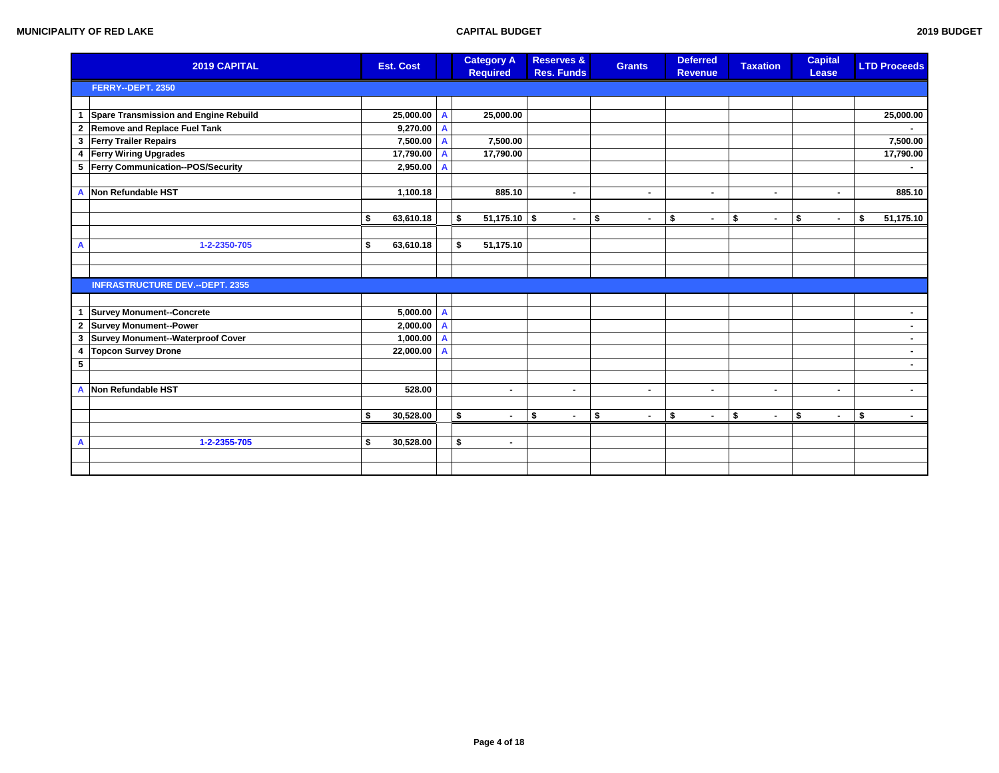|                | 2019 CAPITAL                           | <b>Est. Cost</b> |              | <b>Category A</b><br><b>Required</b> | <b>Reserves &amp;</b><br><b>Res. Funds</b> | <b>Grants</b>        | <b>Deferred</b><br><b>Revenue</b> | <b>Taxation</b>      | <b>Capital</b><br>Lease | <b>LTD Proceeds</b> |
|----------------|----------------------------------------|------------------|--------------|--------------------------------------|--------------------------------------------|----------------------|-----------------------------------|----------------------|-------------------------|---------------------|
|                | FERRY--DEPT. 2350                      |                  |              |                                      |                                            |                      |                                   |                      |                         |                     |
|                |                                        |                  |              |                                      |                                            |                      |                                   |                      |                         |                     |
| $\mathbf{1}$   | Spare Transmission and Engine Rebuild  | 25,000.00 A      |              | 25,000.00                            |                                            |                      |                                   |                      |                         | 25,000.00           |
|                | 2 Remove and Replace Fuel Tank         | $9,270.00$ A     |              |                                      |                                            |                      |                                   |                      |                         |                     |
| $\mathbf{3}$   | <b>Ferry Trailer Repairs</b>           | 7,500.00 A       |              | 7,500.00                             |                                            |                      |                                   |                      |                         | 7,500.00            |
| 4              | <b>Ferry Wiring Upgrades</b>           | 17,790.00 A      |              | 17,790.00                            |                                            |                      |                                   |                      |                         | 17,790.00           |
|                | 5 Ferry Communication--POS/Security    | 2,950.00         | $\mathbf{A}$ |                                      |                                            |                      |                                   |                      |                         |                     |
|                |                                        |                  |              |                                      |                                            |                      |                                   |                      |                         |                     |
| $\overline{A}$ | Non Refundable HST                     | 1,100.18         |              | 885.10                               | $\blacksquare$                             | $\sim$               | $\blacksquare$                    | ۰.                   | ۰.                      | 885.10              |
|                |                                        |                  |              |                                      |                                            |                      |                                   |                      |                         |                     |
|                |                                        | 63,610.18<br>\$  |              | \$<br>$51,175.10$ \$                 | $\blacksquare$                             | \$<br>٠              | \$<br>٠                           | \$<br>$\blacksquare$ | \$<br>$\blacksquare$    | \$<br>51,175.10     |
|                |                                        |                  |              |                                      |                                            |                      |                                   |                      |                         |                     |
| A              | 1-2-2350-705                           | 63,610.18<br>\$  |              | 51,175.10<br>\$                      |                                            |                      |                                   |                      |                         |                     |
|                |                                        |                  |              |                                      |                                            |                      |                                   |                      |                         |                     |
|                |                                        |                  |              |                                      |                                            |                      |                                   |                      |                         |                     |
|                | <b>INFRASTRUCTURE DEV.--DEPT. 2355</b> |                  |              |                                      |                                            |                      |                                   |                      |                         |                     |
|                |                                        |                  |              |                                      |                                            |                      |                                   |                      |                         |                     |
| $\mathbf{1}$   | <b>Survey Monument--Concrete</b>       | $5,000.00$ A     |              |                                      |                                            |                      |                                   |                      |                         | $\sim$              |
|                | 2 Survey Monument--Power               | $2,000.00$ A     |              |                                      |                                            |                      |                                   |                      |                         | $\sim$              |
| $\mathbf{3}$   | Survey Monument--Waterproof Cover      | $1,000.00$ A     |              |                                      |                                            |                      |                                   |                      |                         | $\blacksquare$      |
| $\overline{4}$ | <b>Topcon Survey Drone</b>             | 22,000.00 A      |              |                                      |                                            |                      |                                   |                      |                         | $\sim$              |
| $\sqrt{5}$     |                                        |                  |              |                                      |                                            |                      |                                   |                      |                         |                     |
|                |                                        |                  |              |                                      |                                            |                      |                                   |                      |                         |                     |
| A              | Non Refundable HST                     | 528.00           |              | $\blacksquare$                       | $\blacksquare$                             | ٠                    | $\blacksquare$                    | ۰.                   |                         | $\sim$              |
|                |                                        |                  |              |                                      |                                            |                      |                                   |                      |                         |                     |
|                |                                        | 30,528.00<br>\$  |              | \$<br>$\blacksquare$                 | \$<br>$\blacksquare$                       | \$<br>$\blacksquare$ | \$<br>$\blacksquare$              | \$<br>$\blacksquare$ | \$<br>$\blacksquare$    | \$<br>$\sim$        |
|                |                                        |                  |              |                                      |                                            |                      |                                   |                      |                         |                     |
| A              | 1-2-2355-705                           | 30,528.00<br>\$  |              | \$<br>$\blacksquare$                 |                                            |                      |                                   |                      |                         |                     |
|                |                                        |                  |              |                                      |                                            |                      |                                   |                      |                         |                     |
|                |                                        |                  |              |                                      |                                            |                      |                                   |                      |                         |                     |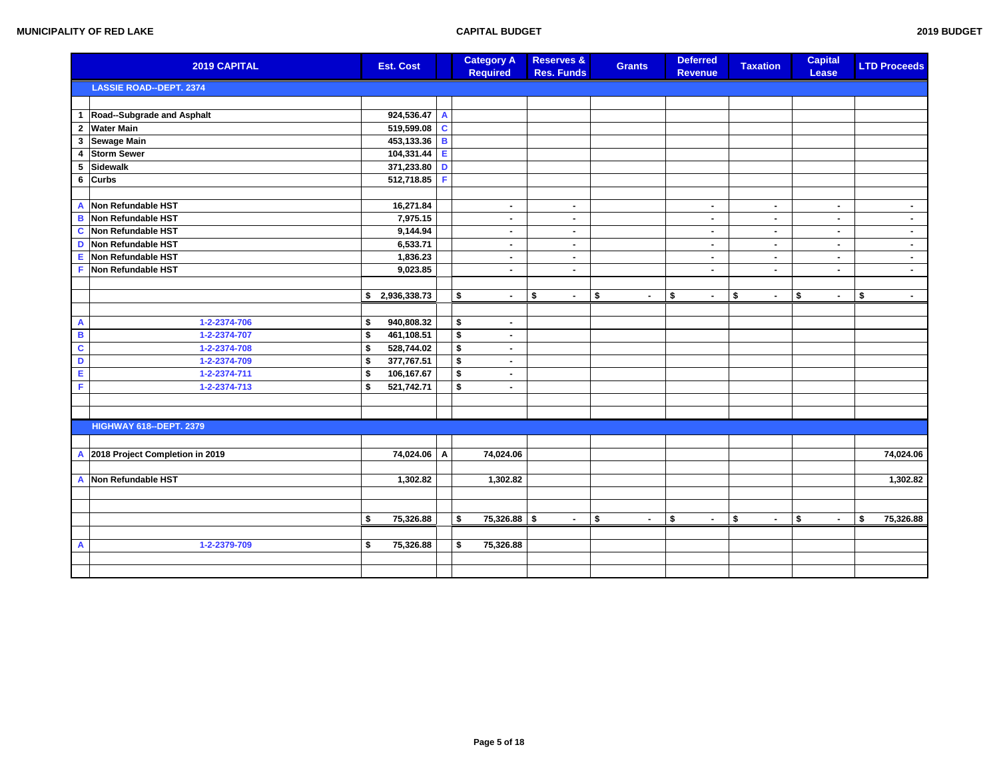| 2019 BUDGET |
|-------------|
|             |

|                | 2019 CAPITAL                    | <b>Est. Cost</b> |   |                      | <b>Category A</b><br><b>Required</b> | <b>Reserves &amp;</b><br><b>Res. Funds</b> | <b>Grants</b> | <b>Deferred</b><br><b>Revenue</b> |                | <b>Taxation</b> | <b>Capital</b><br>Lease | <b>LTD Proceeds</b> |                |
|----------------|---------------------------------|------------------|---|----------------------|--------------------------------------|--------------------------------------------|---------------|-----------------------------------|----------------|-----------------|-------------------------|---------------------|----------------|
|                | <b>LASSIE ROAD--DEPT. 2374</b>  |                  |   |                      |                                      |                                            |               |                                   |                |                 |                         |                     |                |
|                |                                 |                  |   |                      |                                      |                                            |               |                                   |                |                 |                         |                     |                |
|                | 1 Road--Subgrade and Asphalt    | 924,536.47 A     |   |                      |                                      |                                            |               |                                   |                |                 |                         |                     |                |
| $\overline{2}$ | <b>Water Main</b>               | 519,599.08 C     |   |                      |                                      |                                            |               |                                   |                |                 |                         |                     |                |
| $\mathbf 3$    | Sewage Main                     | 453,133.36 B     |   |                      |                                      |                                            |               |                                   |                |                 |                         |                     |                |
| 4              | <b>Storm Sewer</b>              | 104,331.44 E     |   |                      |                                      |                                            |               |                                   |                |                 |                         |                     |                |
| 5              | Sidewalk                        | 371,233.80 D     |   |                      |                                      |                                            |               |                                   |                |                 |                         |                     |                |
|                | 6 Curbs                         | 512,718.85       | F |                      |                                      |                                            |               |                                   |                |                 |                         |                     |                |
|                |                                 |                  |   |                      |                                      |                                            |               |                                   |                |                 |                         |                     |                |
|                | A Non Refundable HST            | 16,271.84        |   |                      | $\blacksquare$                       | $\blacksquare$                             |               |                                   | $\blacksquare$ | $\blacksquare$  | $\blacksquare$          |                     | $\sim$         |
| $\mathbf B$    | Non Refundable HST              | 7,975.15         |   |                      | $\blacksquare$                       | ٠                                          |               |                                   | $\blacksquare$ | $\blacksquare$  | $\blacksquare$          |                     | $\blacksquare$ |
| C              | Non Refundable HST              | 9,144.94         |   |                      | $\blacksquare$                       | $\blacksquare$                             |               |                                   | $\blacksquare$ | $\blacksquare$  | $\blacksquare$          |                     | $\sim$         |
|                | D Non Refundable HST            | 6,533.71         |   |                      | $\blacksquare$                       | $\sim$                                     |               |                                   | $\blacksquare$ | $\blacksquare$  | $\blacksquare$          |                     | $\sim$         |
| E              | Non Refundable HST              | 1,836.23         |   |                      | $\blacksquare$                       | ۰.                                         |               |                                   | $\blacksquare$ | $\blacksquare$  | $\blacksquare$          |                     | $\sim$         |
| F              | Non Refundable HST              | 9,023.85         |   |                      | $\blacksquare$                       | $\blacksquare$                             |               |                                   | $\blacksquare$ | $\blacksquare$  | $\blacksquare$          |                     | $\sim$         |
|                |                                 |                  |   |                      |                                      |                                            |               |                                   |                |                 |                         |                     |                |
|                |                                 | \$2,936,338.73   |   | \$                   | $\sim$                               | \$<br>$\sim$                               | \$<br>$\sim$  | \$                                | $\blacksquare$ | \$<br>$\sim$    | \$<br>$\blacksquare$    | \$                  | $\sim$         |
|                |                                 |                  |   |                      |                                      |                                            |               |                                   |                |                 |                         |                     |                |
| $\mathbf{A}$   | 1-2-2374-706                    | \$<br>940,808.32 |   | \$                   | $\blacksquare$                       |                                            |               |                                   |                |                 |                         |                     |                |
| $\blacksquare$ | 1-2-2374-707                    | \$<br>461,108.51 |   | \$                   | $\blacksquare$                       |                                            |               |                                   |                |                 |                         |                     |                |
| $\mathbf c$    | 1-2-2374-708                    | \$<br>528,744.02 |   | \$                   | $\blacksquare$                       |                                            |               |                                   |                |                 |                         |                     |                |
| D              | 1-2-2374-709                    | \$<br>377,767.51 |   | $\overline{\bullet}$ | $\blacksquare$                       |                                            |               |                                   |                |                 |                         |                     |                |
| E              | 1-2-2374-711                    | \$<br>106,167.67 |   | \$                   | $\blacksquare$                       |                                            |               |                                   |                |                 |                         |                     |                |
| F              | 1-2-2374-713                    | \$<br>521,742.71 |   | \$                   | $\blacksquare$                       |                                            |               |                                   |                |                 |                         |                     |                |
|                |                                 |                  |   |                      |                                      |                                            |               |                                   |                |                 |                         |                     |                |
|                |                                 |                  |   |                      |                                      |                                            |               |                                   |                |                 |                         |                     |                |
|                | <b>HIGHWAY 618--DEPT. 2379</b>  |                  |   |                      |                                      |                                            |               |                                   |                |                 |                         |                     |                |
|                |                                 |                  |   |                      |                                      |                                            |               |                                   |                |                 |                         |                     |                |
| $\mathbf{A}$   | 2018 Project Completion in 2019 | 74,024.06 A      |   |                      | 74,024.06                            |                                            |               |                                   |                |                 |                         | 74,024.06           |                |
|                |                                 |                  |   |                      |                                      |                                            |               |                                   |                |                 |                         |                     |                |
| A              | Non Refundable HST              | 1,302.82         |   |                      | 1,302.82                             |                                            |               |                                   |                |                 |                         |                     | 1,302.82       |
|                |                                 |                  |   |                      |                                      |                                            |               |                                   |                |                 |                         |                     |                |
|                |                                 |                  |   |                      |                                      |                                            |               |                                   |                |                 |                         |                     |                |
|                |                                 | \$<br>75,326.88  |   | \$                   | 75,326.88                            | $\sqrt{2}$<br>$\blacksquare$               | \$<br>$\sim$  | \$                                | $\sim$         | \$<br>$\sim$    | \$<br>$\blacksquare$    | \$<br>75,326.88     |                |
|                |                                 |                  |   |                      |                                      |                                            |               |                                   |                |                 |                         |                     |                |
| $\mathsf{A}$   | 1-2-2379-709                    | \$<br>75,326.88  |   | \$                   | 75,326.88                            |                                            |               |                                   |                |                 |                         |                     |                |
|                |                                 |                  |   |                      |                                      |                                            |               |                                   |                |                 |                         |                     |                |
|                |                                 |                  |   |                      |                                      |                                            |               |                                   |                |                 |                         |                     |                |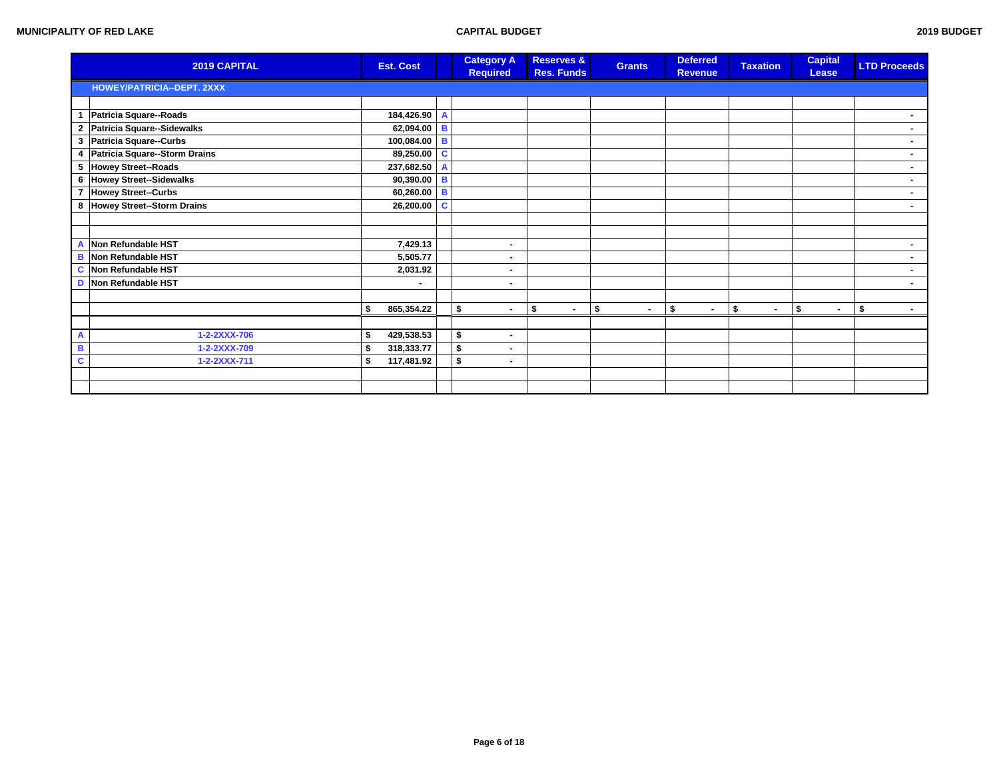|   | 2019 CAPITAL                      | <b>Est. Cost</b> |              |                | <b>Category A</b><br><b>Required</b> | <b>Reserves &amp;</b><br><b>Res. Funds</b> | <b>Grants</b>        | <b>Deferred</b><br><b>Revenue</b> | <b>Taxation</b> | <b>Capital</b><br>Lease | <b>LTD Proceeds</b> |
|---|-----------------------------------|------------------|--------------|----------------|--------------------------------------|--------------------------------------------|----------------------|-----------------------------------|-----------------|-------------------------|---------------------|
|   | <b>HOWEY/PATRICIA--DEPT. 2XXX</b> |                  |              |                |                                      |                                            |                      |                                   |                 |                         |                     |
|   |                                   |                  |              |                |                                      |                                            |                      |                                   |                 |                         |                     |
|   | 1 Patricia Square--Roads          |                  | 184,426.90   | $\overline{A}$ |                                      |                                            |                      |                                   |                 |                         |                     |
|   | 2 Patricia Square--Sidewalks      |                  | 62,094.00    | B              |                                      |                                            |                      |                                   |                 |                         | ۰.                  |
|   | 3 Patricia Square--Curbs          |                  | 100,084.00 B |                |                                      |                                            |                      |                                   |                 |                         | $\blacksquare$      |
|   | 4 Patricia Square--Storm Drains   |                  | 89,250.00    | C              |                                      |                                            |                      |                                   |                 |                         | $\blacksquare$      |
|   | 5 Howey Street--Roads             |                  | 237,682.50   | A              |                                      |                                            |                      |                                   |                 |                         | $\sim$              |
|   | 6 Howey Street--Sidewalks         |                  | 90,390.00    | B              |                                      |                                            |                      |                                   |                 |                         | $\sim$              |
|   | 7 Howey Street--Curbs             |                  | 60,260.00 B  |                |                                      |                                            |                      |                                   |                 |                         |                     |
|   | 8 Howey Street--Storm Drains      |                  | 26,200.00    | C              |                                      |                                            |                      |                                   |                 |                         | $\blacksquare$      |
|   |                                   |                  |              |                |                                      |                                            |                      |                                   |                 |                         |                     |
|   |                                   |                  |              |                |                                      |                                            |                      |                                   |                 |                         |                     |
| A | Non Refundable HST                |                  | 7,429.13     |                | $\blacksquare$                       |                                            |                      |                                   |                 |                         | $\blacksquare$      |
| B | Non Refundable HST                |                  | 5,505.77     |                | $\blacksquare$                       |                                            |                      |                                   |                 |                         | $\blacksquare$      |
| C | Non Refundable HST                |                  | 2,031.92     |                | ۰                                    |                                            |                      |                                   |                 |                         | $\blacksquare$      |
|   | D Non Refundable HST              |                  | ٠            |                | $\blacksquare$                       |                                            |                      |                                   |                 |                         | ۰.                  |
|   |                                   |                  |              |                |                                      |                                            |                      |                                   |                 |                         |                     |
|   |                                   | 865,354.22<br>-9 |              |                | \$<br>$\blacksquare$                 | \$<br>$\blacksquare$                       | \$<br>$\blacksquare$ | \$<br>٠.                          | \$<br>$\sim$    | \$<br>$\sim$            | \$                  |
|   |                                   |                  |              |                |                                      |                                            |                      |                                   |                 |                         |                     |
| A | 1-2-2XXX-706                      | 429,538.53       |              |                | \$<br>$\blacksquare$                 |                                            |                      |                                   |                 |                         |                     |
| B | 1-2-2XXX-709                      | 318,333.77       |              |                | \$<br>$\blacksquare$                 |                                            |                      |                                   |                 |                         |                     |
| C | 1-2-2XXX-711                      | 117,481.92<br>\$ |              |                | \$<br>$\blacksquare$                 |                                            |                      |                                   |                 |                         |                     |
|   |                                   |                  |              |                |                                      |                                            |                      |                                   |                 |                         |                     |
|   |                                   |                  |              |                |                                      |                                            |                      |                                   |                 |                         |                     |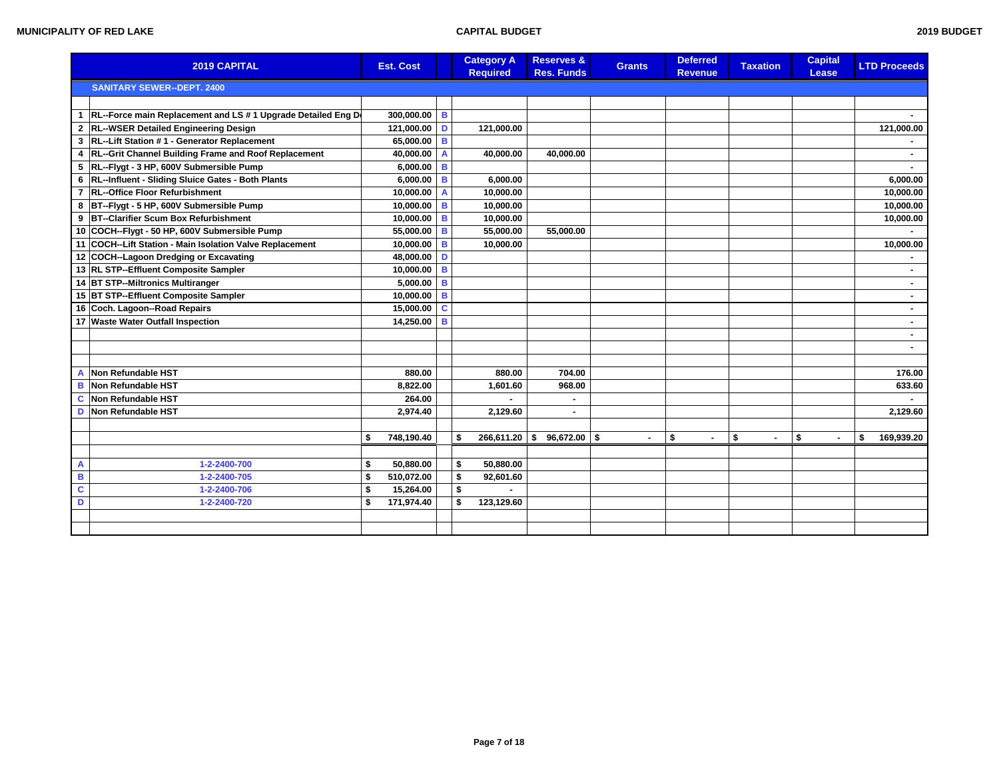| 2019 CAPITAL                                                                    | <b>Est. Cost</b> |                | <b>Category A</b><br><b>Required</b> | <b>Reserves &amp;</b><br><b>Res. Funds</b> | <b>Grants</b>       | <b>Deferred</b><br><b>Revenue</b> | <b>Taxation</b> | <b>Capital</b><br>Lease | <b>LTD Proceeds</b> |
|---------------------------------------------------------------------------------|------------------|----------------|--------------------------------------|--------------------------------------------|---------------------|-----------------------------------|-----------------|-------------------------|---------------------|
| <b>SANITARY SEWER--DEPT. 2400</b>                                               |                  |                |                                      |                                            |                     |                                   |                 |                         |                     |
|                                                                                 |                  |                |                                      |                                            |                     |                                   |                 |                         |                     |
| 1   RL--Force main Replacement and LS # 1 Upgrade Detailed Eng D                | 300,000.00       | $\overline{B}$ |                                      |                                            |                     |                                   |                 |                         |                     |
| <b>RL--WSER Detailed Engineering Design</b><br>$\mathbf{2}$                     | 121,000.00       | D              | 121,000.00                           |                                            |                     |                                   |                 |                         | 121,000.00          |
| RL--Lift Station #1 - Generator Replacement<br>3                                | 65,000.00        | B              |                                      |                                            |                     |                                   |                 |                         |                     |
| RL--Grit Channel Building Frame and Roof Replacement<br>$\overline{\mathbf{4}}$ | 40,000.00        | $\mathsf{A}$   | 40,000.00                            | 40,000.00                                  |                     |                                   |                 |                         |                     |
| 5 RL--Flygt - 3 HP, 600V Submersible Pump                                       | 6,000.00         | B              |                                      |                                            |                     |                                   |                 |                         |                     |
| RL--Influent - Sliding Sluice Gates - Both Plants<br>6                          | 6,000.00         | B              | 6,000.00                             |                                            |                     |                                   |                 |                         | 6,000.00            |
| <b>RL--Office Floor Refurbishment</b><br>$\overline{7}$                         | 10,000.00        | A              | 10,000.00                            |                                            |                     |                                   |                 |                         | 10,000.00           |
| BT--Flygt - 5 HP, 600V Submersible Pump<br>8                                    | 10,000.00        | B              | 10,000.00                            |                                            |                     |                                   |                 |                         | 10,000.00           |
| <b>BT--Clarifier Scum Box Refurbishment</b><br>9                                | 10,000.00        | B              | 10,000.00                            |                                            |                     |                                   |                 |                         | 10,000.00           |
| 10 COCH--Flygt - 50 HP, 600V Submersible Pump                                   | 55,000.00        | B              | 55,000.00                            | 55,000.00                                  |                     |                                   |                 |                         |                     |
| 11 COCH--Lift Station - Main Isolation Valve Replacement                        | 10,000.00        | B              | 10,000.00                            |                                            |                     |                                   |                 |                         | 10,000.00           |
| 12 COCH--Lagoon Dredging or Excavating                                          | 48,000.00        | D              |                                      |                                            |                     |                                   |                 |                         |                     |
| 13 RL STP--Effluent Composite Sampler                                           | 10,000.00        | B              |                                      |                                            |                     |                                   |                 |                         |                     |
| 14 BT STP--Miltronics Multiranger                                               | 5,000.00         | B              |                                      |                                            |                     |                                   |                 |                         |                     |
| 15 BT STP--Effluent Composite Sampler                                           | 10,000.00        | B              |                                      |                                            |                     |                                   |                 |                         |                     |
| 16 Coch. Lagoon--Road Repairs                                                   | 15,000.00        | C              |                                      |                                            |                     |                                   |                 |                         | $\blacksquare$      |
| 17 Waste Water Outfall Inspection                                               | 14,250.00        | B              |                                      |                                            |                     |                                   |                 |                         | $\blacksquare$      |
|                                                                                 |                  |                |                                      |                                            |                     |                                   |                 |                         | $\blacksquare$      |
|                                                                                 |                  |                |                                      |                                            |                     |                                   |                 |                         |                     |
|                                                                                 |                  |                |                                      |                                            |                     |                                   |                 |                         |                     |
| Non Refundable HST<br>A                                                         | 880.00           |                | 880.00                               | 704.00                                     |                     |                                   |                 |                         | 176.00              |
| Non Refundable HST<br>B                                                         | 8,822.00         |                | 1,601.60                             | 968.00                                     |                     |                                   |                 |                         | 633.60              |
| C<br>Non Refundable HST                                                         | 264.00           |                |                                      |                                            |                     |                                   |                 |                         |                     |
| Non Refundable HST<br>D                                                         | 2,974.40         |                | 2,129.60                             |                                            |                     |                                   |                 |                         | 2,129.60            |
|                                                                                 |                  |                |                                      |                                            |                     |                                   |                 |                         |                     |
|                                                                                 | 748,190.40<br>\$ |                | 266,611.20<br>\$                     | \$<br>96,672.00                            | 5<br>$\blacksquare$ | \$                                | \$              | \$                      | \$<br>169,939.20    |
|                                                                                 |                  |                |                                      |                                            |                     |                                   |                 |                         |                     |
| A<br>1-2-2400-700                                                               | 50,880.00<br>\$  |                | 50,880.00<br>\$                      |                                            |                     |                                   |                 |                         |                     |
| B<br>1-2-2400-705                                                               | 510,072.00<br>\$ |                | \$<br>92,601.60                      |                                            |                     |                                   |                 |                         |                     |
| $\mathbf c$<br>1-2-2400-706                                                     | 15,264.00<br>\$  |                | \$                                   |                                            |                     |                                   |                 |                         |                     |
| D<br>1-2-2400-720                                                               | 171,974.40<br>\$ |                | \$<br>123,129.60                     |                                            |                     |                                   |                 |                         |                     |
|                                                                                 |                  |                |                                      |                                            |                     |                                   |                 |                         |                     |
|                                                                                 |                  |                |                                      |                                            |                     |                                   |                 |                         |                     |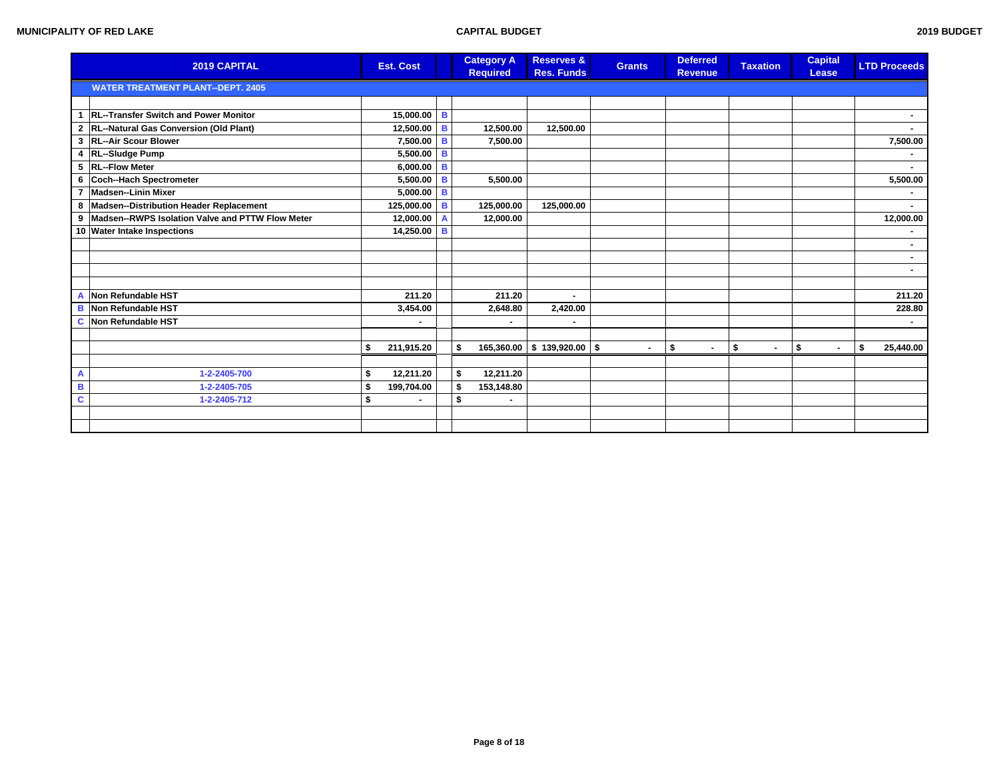|                | 2019 CAPITAL                                         | <b>Est. Cost</b> |   | <b>Category A</b><br><b>Required</b> | <b>Reserves &amp;</b><br><b>Res. Funds</b> | <b>Grants</b>  | <b>Deferred</b><br><b>Revenue</b> | <b>Taxation</b>      | <b>Capital</b><br>Lease | <b>LTD Proceeds</b> |
|----------------|------------------------------------------------------|------------------|---|--------------------------------------|--------------------------------------------|----------------|-----------------------------------|----------------------|-------------------------|---------------------|
|                | <b>WATER TREATMENT PLANT--DEPT. 2405</b>             |                  |   |                                      |                                            |                |                                   |                      |                         |                     |
|                |                                                      |                  |   |                                      |                                            |                |                                   |                      |                         |                     |
|                | 1 RL--Transfer Switch and Power Monitor              | 15,000.00        | B |                                      |                                            |                |                                   |                      |                         |                     |
|                | 2 RL--Natural Gas Conversion (Old Plant)             | 12,500.00        | B | 12,500.00                            | 12,500.00                                  |                |                                   |                      |                         |                     |
|                | 3 RL--Air Scour Blower                               | 7,500.00         | B | 7,500.00                             |                                            |                |                                   |                      |                         | 7,500.00            |
|                | 4 RL--Sludge Pump                                    | 5,500.00         | B |                                      |                                            |                |                                   |                      |                         |                     |
|                | 5 RL--Flow Meter                                     | 6,000.00         | B |                                      |                                            |                |                                   |                      |                         |                     |
|                | 6 Coch--Hach Spectrometer                            | 5,500.00         | B | 5,500.00                             |                                            |                |                                   |                      |                         | 5,500.00            |
| $\overline{7}$ | Madsen--Linin Mixer                                  | 5,000.00         | B |                                      |                                            |                |                                   |                      |                         |                     |
|                | 8 Madsen--Distribution Header Replacement            | 125,000.00       | B | 125,000.00                           | 125,000.00                                 |                |                                   |                      |                         |                     |
|                | 9   Madsen--RWPS Isolation Valve and PTTW Flow Meter | 12,000.00        |   | 12,000.00                            |                                            |                |                                   |                      |                         | 12,000.00           |
|                | 10 Water Intake Inspections                          | 14,250.00        | B |                                      |                                            |                |                                   |                      |                         |                     |
|                |                                                      |                  |   |                                      |                                            |                |                                   |                      |                         |                     |
|                |                                                      |                  |   |                                      |                                            |                |                                   |                      |                         |                     |
|                |                                                      |                  |   |                                      |                                            |                |                                   |                      |                         |                     |
|                |                                                      |                  |   |                                      |                                            |                |                                   |                      |                         |                     |
|                | A Non Refundable HST                                 | 211.20           |   | 211.20                               |                                            |                |                                   |                      |                         | 211.20              |
| в              | Non Refundable HST                                   | 3,454.00         |   | 2,648.80                             | 2,420.00                                   |                |                                   |                      |                         | 228.80              |
|                | <b>C</b> Non Refundable HST                          |                  |   |                                      |                                            |                |                                   |                      |                         |                     |
|                |                                                      |                  |   |                                      |                                            |                |                                   |                      |                         |                     |
|                |                                                      | 211,915.20<br>\$ |   | \$                                   | $165,360.00$ \$ 139,920.00 \$              | $\blacksquare$ | \$<br>$\blacksquare$              | \$<br>$\blacksquare$ | \$<br>$\blacksquare$    | \$<br>25,440.00     |
|                |                                                      |                  |   |                                      |                                            |                |                                   |                      |                         |                     |
| A              | 1-2-2405-700                                         | 12,211.20        |   | \$<br>12,211.20                      |                                            |                |                                   |                      |                         |                     |
| B              | 1-2-2405-705                                         | 199,704.00       |   | \$<br>153,148.80                     |                                            |                |                                   |                      |                         |                     |
| C              | 1-2-2405-712                                         | $\blacksquare$   |   | \$<br>$\blacksquare$                 |                                            |                |                                   |                      |                         |                     |
|                |                                                      |                  |   |                                      |                                            |                |                                   |                      |                         |                     |
|                |                                                      |                  |   |                                      |                                            |                |                                   |                      |                         |                     |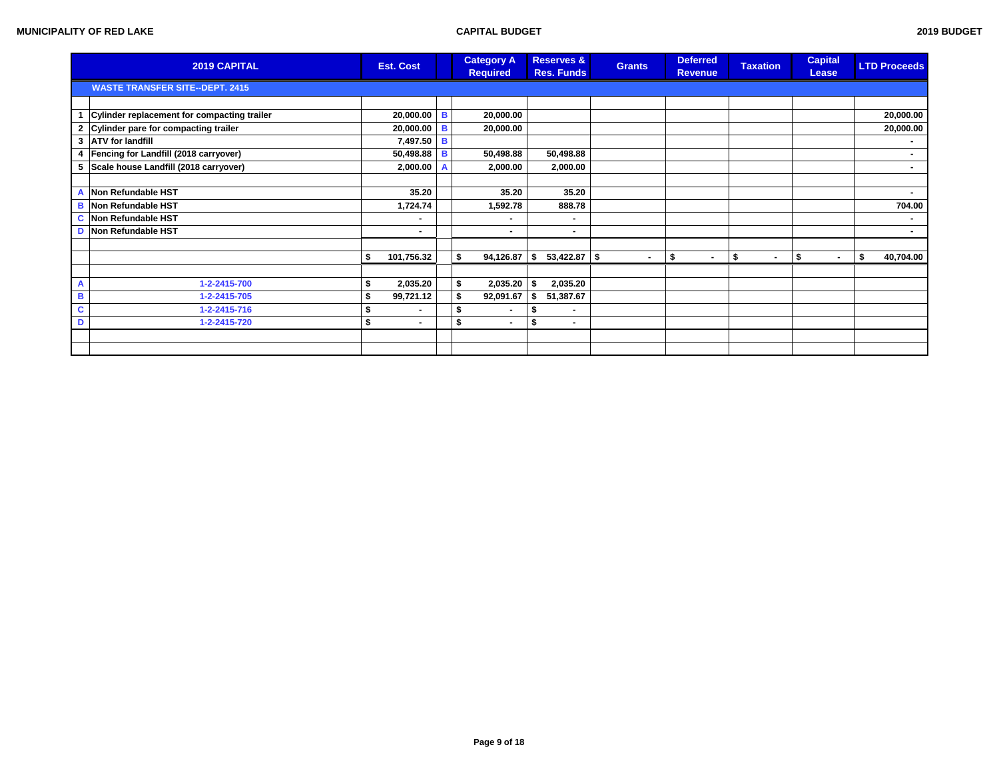|    | 2019 CAPITAL                                | <b>Est. Cost</b> |   | <b>Category A</b><br><b>Required</b> | <b>Reserves &amp;</b><br><b>Res. Funds</b> | <b>Grants</b>  | <b>Deferred</b><br><b>Revenue</b> | <b>Taxation</b>                | <b>Capital</b><br>Lease | <b>LTD Proceeds</b> |        |
|----|---------------------------------------------|------------------|---|--------------------------------------|--------------------------------------------|----------------|-----------------------------------|--------------------------------|-------------------------|---------------------|--------|
|    | <b>WASTE TRANSFER SITE--DEPT. 2415</b>      |                  |   |                                      |                                            |                |                                   |                                |                         |                     |        |
|    |                                             |                  |   |                                      |                                            |                |                                   |                                |                         |                     |        |
| 1  | Cylinder replacement for compacting trailer | $20,000.00$ B    |   | 20,000.00                            |                                            |                |                                   |                                |                         | 20,000.00           |        |
|    | 2 Cylinder pare for compacting trailer      | $20,000.00$ B    |   | 20,000.00                            |                                            |                |                                   |                                |                         | 20,000.00           |        |
|    | 3 ATV for landfill                          | 7,497.50 B       |   |                                      |                                            |                |                                   |                                |                         |                     |        |
|    | 4   Fencing for Landfill (2018 carryover)   | 50,498.88 B      |   | 50,498.88                            | 50,498.88                                  |                |                                   |                                |                         |                     |        |
|    | 5 Scale house Landfill (2018 carryover)     | 2,000.00         | A | 2,000.00                             | 2,000.00                                   |                |                                   |                                |                         |                     | $\sim$ |
|    |                                             |                  |   |                                      |                                            |                |                                   |                                |                         |                     |        |
| Α  | Non Refundable HST                          | 35.20            |   | 35.20                                | 35.20                                      |                |                                   |                                |                         |                     | ٠.     |
|    | <b>B</b> Non Refundable HST                 | 1,724.74         |   | 1,592.78                             | 888.78                                     |                |                                   |                                |                         | 704.00              |        |
|    | <b>C</b> Non Refundable HST                 | ۰                |   | ۰                                    |                                            |                |                                   |                                |                         |                     |        |
| D  | Non Refundable HST                          | $\blacksquare$   |   | $\sim$                               | $\sim$                                     |                |                                   |                                |                         |                     | $\sim$ |
|    |                                             |                  |   |                                      |                                            |                |                                   |                                |                         |                     |        |
|    |                                             | 101,756.32       |   | -\$<br>94,126.87                     | \$<br>$53,422.87$ \$                       | $\blacksquare$ | \$<br>$\blacksquare$              | \$<br>$\overline{\phantom{a}}$ | \$<br>$\blacksquare$    | \$<br>40,704.00     |        |
|    |                                             |                  |   |                                      |                                            |                |                                   |                                |                         |                     |        |
| A  | 1-2-2415-700                                | 2,035.20         |   | \$<br>2,035.20                       | 2,035.20                                   |                |                                   |                                |                         |                     |        |
| B  | 1-2-2415-705                                | 99,721.12        |   | 92,091.67<br>S                       | 51,387.67                                  |                |                                   |                                |                         |                     |        |
| C. | 1-2-2415-716                                | $\blacksquare$   |   | S<br>$\blacksquare$                  | S                                          |                |                                   |                                |                         |                     |        |
| D  | 1-2-2415-720                                | \$<br>۰.         |   | \$<br>$\sim$                         | \$<br>۰.                                   |                |                                   |                                |                         |                     |        |
|    |                                             |                  |   |                                      |                                            |                |                                   |                                |                         |                     |        |
|    |                                             |                  |   |                                      |                                            |                |                                   |                                |                         |                     |        |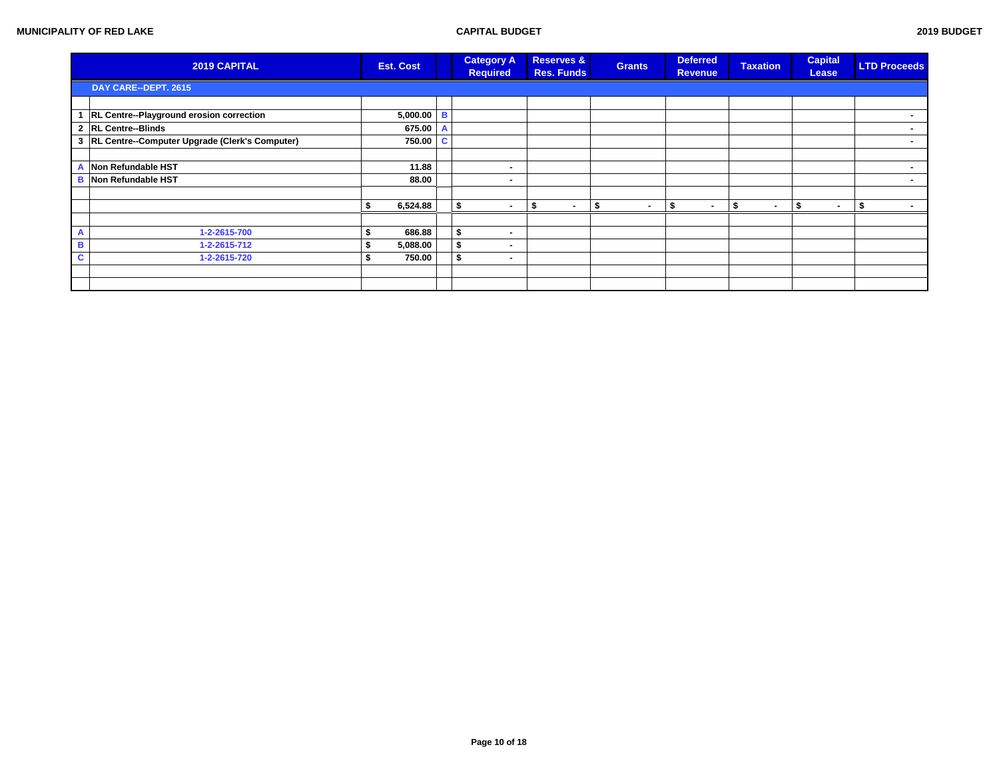|   | 2019 CAPITAL                                     | <b>Est. Cost</b> |          | <b>Category A</b><br><b>Required</b> | <b>Reserves &amp;</b><br><b>Res. Funds</b> | <b>Grants</b>          | <b>Deferred</b><br><b>Revenue</b> | <b>Taxation</b> | <b>Capital</b><br>Lease  | <b>LTD Proceeds</b> |
|---|--------------------------------------------------|------------------|----------|--------------------------------------|--------------------------------------------|------------------------|-----------------------------------|-----------------|--------------------------|---------------------|
|   | DAY CARE--DEPT. 2615                             |                  |          |                                      |                                            |                        |                                   |                 |                          |                     |
|   |                                                  |                  |          |                                      |                                            |                        |                                   |                 |                          |                     |
|   | RL Centre--Playground erosion correction         | 5,000.00         | <b>B</b> |                                      |                                            |                        |                                   |                 |                          | $\blacksquare$      |
|   | 2 RL Centre--Blinds                              | 675.00           |          |                                      |                                            |                        |                                   |                 |                          |                     |
|   | 3 RL Centre--Computer Upgrade (Clerk's Computer) | 750.00           | c.       |                                      |                                            |                        |                                   |                 |                          | ٠.                  |
|   |                                                  |                  |          |                                      |                                            |                        |                                   |                 |                          |                     |
| Α | Non Refundable HST                               | 11.88            |          | $\blacksquare$                       |                                            |                        |                                   |                 |                          | $\blacksquare$      |
| B | Non Refundable HST                               | 88.00            |          | $\blacksquare$                       |                                            |                        |                                   |                 |                          |                     |
|   |                                                  |                  |          |                                      |                                            |                        |                                   |                 |                          |                     |
|   |                                                  | 6,524.88         |          | $\blacksquare$                       | а                                          | $\blacksquare$<br>- 35 | - 55<br>$\blacksquare$            | $\blacksquare$  | $\overline{\phantom{a}}$ |                     |
|   |                                                  |                  |          |                                      |                                            |                        |                                   |                 |                          |                     |
| А | 1-2-2615-700                                     | 686.88           |          | $\blacksquare$                       |                                            |                        |                                   |                 |                          |                     |
| в | 1-2-2615-712                                     | 5,088.00         |          | \$<br>$\blacksquare$                 |                                            |                        |                                   |                 |                          |                     |
| C | 1-2-2615-720                                     | 750.00           |          | \$<br>$\sim$                         |                                            |                        |                                   |                 |                          |                     |
|   |                                                  |                  |          |                                      |                                            |                        |                                   |                 |                          |                     |
|   |                                                  |                  |          |                                      |                                            |                        |                                   |                 |                          |                     |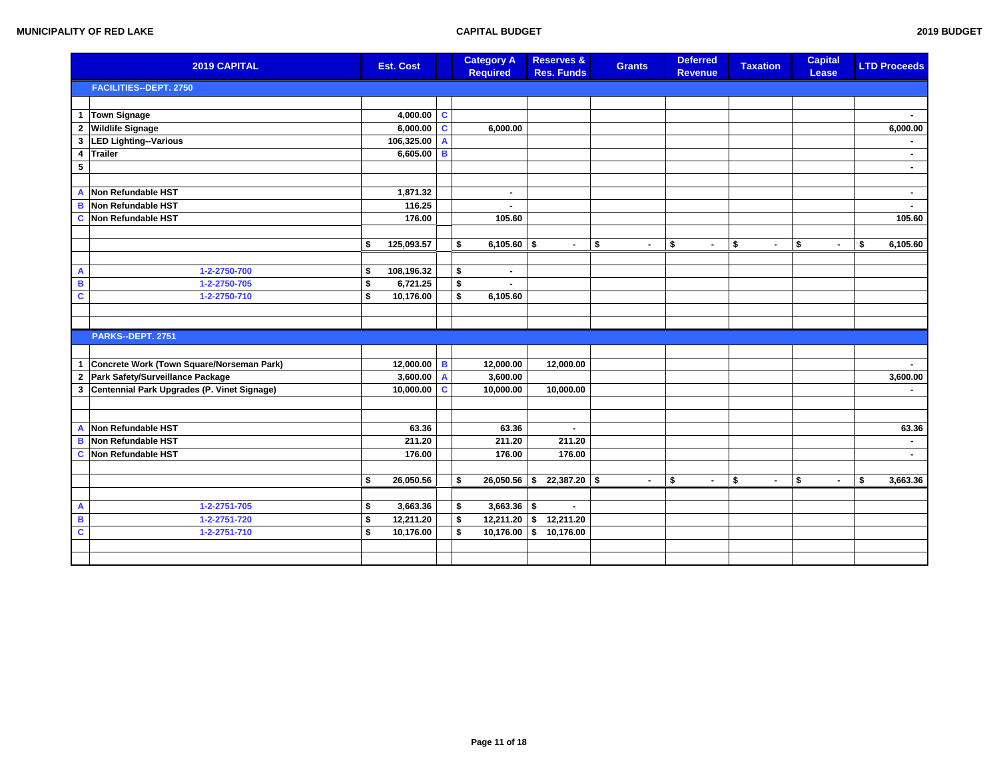|                         | 2019 CAPITAL                                  |    | <b>Est. Cost</b>  |    | <b>Category A</b><br><b>Required</b> | <b>Reserves &amp;</b><br><b>Res. Funds</b> | <b>Grants</b>        | <b>Deferred</b><br><b>Revenue</b> | <b>Taxation</b>      | <b>Capital</b><br>Lease | <b>LTD Proceeds</b> |
|-------------------------|-----------------------------------------------|----|-------------------|----|--------------------------------------|--------------------------------------------|----------------------|-----------------------------------|----------------------|-------------------------|---------------------|
|                         | <b>FACILITIES--DEPT. 2750</b>                 |    |                   |    |                                      |                                            |                      |                                   |                      |                         |                     |
|                         |                                               |    |                   |    |                                      |                                            |                      |                                   |                      |                         |                     |
| $\mathbf{1}$            | <b>Town Signage</b>                           |    | 4,000.00 $\mid$ C |    |                                      |                                            |                      |                                   |                      |                         |                     |
|                         | 2 Wildlife Signage                            |    | $6,000.00$ C      |    | 6,000.00                             |                                            |                      |                                   |                      |                         | 6,000.00            |
| $\mathbf 3$             | LED Lighting-Various                          |    | 106,325.00 A      |    |                                      |                                            |                      |                                   |                      |                         |                     |
| 4                       | Trailer                                       |    | $6,605.00$ B      |    |                                      |                                            |                      |                                   |                      |                         | $\blacksquare$      |
| $\overline{\mathbf{5}}$ |                                               |    |                   |    |                                      |                                            |                      |                                   |                      |                         | $\blacksquare$      |
|                         |                                               |    |                   |    |                                      |                                            |                      |                                   |                      |                         |                     |
| A                       | Non Refundable HST                            |    | 1,871.32          |    | $\blacksquare$                       |                                            |                      |                                   |                      |                         | $\sim$              |
| B                       | <b>Non Refundable HST</b>                     |    | 116.25            |    | $\blacksquare$                       |                                            |                      |                                   |                      |                         | ۰.                  |
| C                       | <b>Non Refundable HST</b>                     |    | 176.00            |    | 105.60                               |                                            |                      |                                   |                      |                         | 105.60              |
|                         |                                               |    |                   |    |                                      |                                            |                      |                                   |                      |                         |                     |
|                         |                                               | \$ | 125,093.57        | \$ | $6,105.60$ \$                        |                                            | \$<br>$\blacksquare$ | \$<br>$\blacksquare$              | \$<br>$\blacksquare$ | \$                      | \$<br>6,105.60      |
|                         |                                               |    |                   |    |                                      |                                            |                      |                                   |                      |                         |                     |
| A                       | 1-2-2750-700                                  | S  | 108,196.32        | \$ | $\blacksquare$                       |                                            |                      |                                   |                      |                         |                     |
| В                       | 1-2-2750-705                                  | \$ | 6,721.25          | \$ | $\blacksquare$                       |                                            |                      |                                   |                      |                         |                     |
| $\mathbf{c}$            | 1-2-2750-710                                  | \$ | 10,176.00         | \$ | 6,105.60                             |                                            |                      |                                   |                      |                         |                     |
|                         |                                               |    |                   |    |                                      |                                            |                      |                                   |                      |                         |                     |
|                         |                                               |    |                   |    |                                      |                                            |                      |                                   |                      |                         |                     |
|                         | <b>PARKS--DEPT. 2751</b>                      |    |                   |    |                                      |                                            |                      |                                   |                      |                         |                     |
|                         |                                               |    |                   |    |                                      |                                            |                      |                                   |                      |                         |                     |
| $\mathbf{1}$            | Concrete Work (Town Square/Norseman Park)     |    | 12,000.00 B       |    | 12,000.00                            | 12,000.00                                  |                      |                                   |                      |                         |                     |
| $\mathbf{2}$            | Park Safety/Surveillance Package              |    | $3,600.00$ A      |    | 3,600.00                             |                                            |                      |                                   |                      |                         | 3,600.00            |
|                         | 3 Centennial Park Upgrades (P. Vinet Signage) |    | 10,000.00 $ C$    |    | 10,000.00                            | 10,000.00                                  |                      |                                   |                      |                         | ۰.                  |
|                         |                                               |    |                   |    |                                      |                                            |                      |                                   |                      |                         |                     |
|                         |                                               |    |                   |    |                                      |                                            |                      |                                   |                      |                         |                     |
| A                       | Non Refundable HST                            |    | 63.36             |    | 63.36                                |                                            |                      |                                   |                      |                         | 63.36               |
| в                       | Non Refundable HST                            |    | 211.20            |    | 211.20                               | 211.20                                     |                      |                                   |                      |                         | $\sim$              |
| <b>C</b>                | Non Refundable HST                            |    | 176.00            |    | 176.00                               | 176.00                                     |                      |                                   |                      |                         | ۰.                  |
|                         |                                               |    |                   |    |                                      |                                            |                      |                                   |                      |                         |                     |
|                         |                                               | \$ | 26,050.56         | \$ | $26,050.56$ \$                       | $22,387.20$ \$                             | $\sim$               | \$<br>$\blacksquare$              | \$<br>$\blacksquare$ | \$<br>$\blacksquare$    | \$<br>3,663.36      |
|                         |                                               |    |                   |    |                                      |                                            |                      |                                   |                      |                         |                     |
| A                       | 1-2-2751-705                                  | \$ | 3,663.36          | \$ | $3,663.36$ \$                        | $\sim$                                     |                      |                                   |                      |                         |                     |
| B                       | 1-2-2751-720                                  | \$ | 12,211.20         | \$ |                                      | $12,211.20$ \$ 12,211.20                   |                      |                                   |                      |                         |                     |
| $\mathbf c$             | 1-2-2751-710                                  | \$ | 10,176.00         | \$ |                                      | $10,176.00$ \$ 10,176.00                   |                      |                                   |                      |                         |                     |
|                         |                                               |    |                   |    |                                      |                                            |                      |                                   |                      |                         |                     |
|                         |                                               |    |                   |    |                                      |                                            |                      |                                   |                      |                         |                     |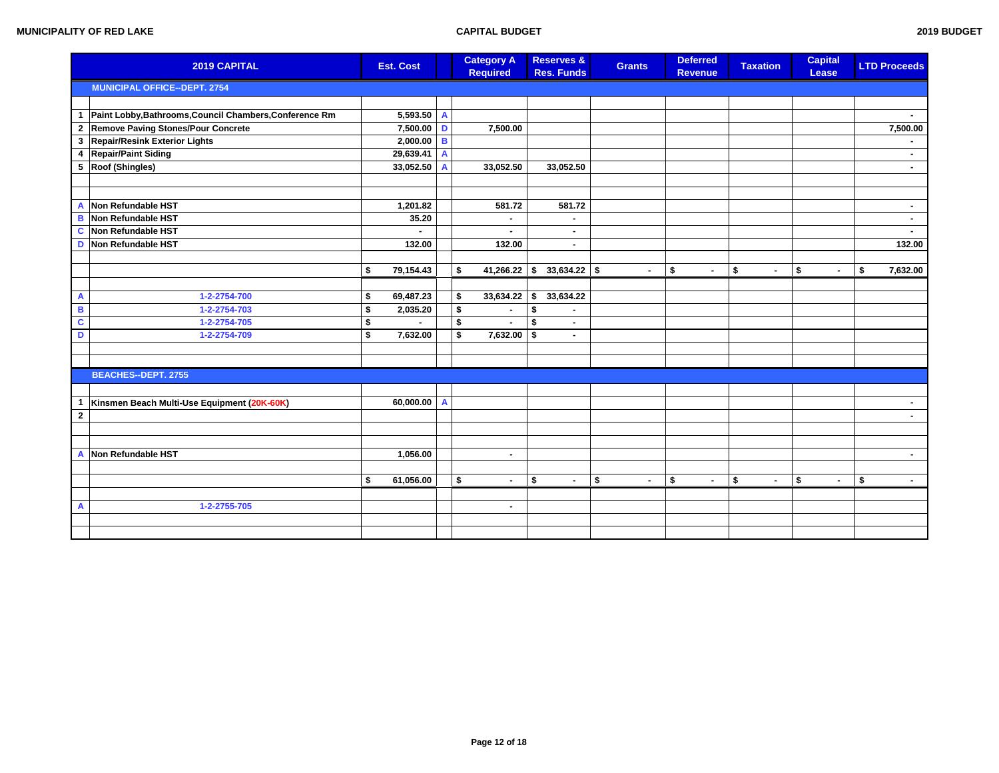| 2019 BUDGET |
|-------------|
|             |

|                         | 2019 CAPITAL                                            | <b>Est. Cost</b> |              | <b>Category A</b><br><b>Required</b> |    | <b>Reserves &amp;</b><br><b>Res. Funds</b> | <b>Grants</b>  | <b>Deferred</b><br><b>Revenue</b> | <b>Taxation</b>      | <b>Capital</b><br>Lease |                | <b>LTD Proceeds</b>      |
|-------------------------|---------------------------------------------------------|------------------|--------------|--------------------------------------|----|--------------------------------------------|----------------|-----------------------------------|----------------------|-------------------------|----------------|--------------------------|
|                         | <b>MUNICIPAL OFFICE--DEPT. 2754</b>                     |                  |              |                                      |    |                                            |                |                                   |                      |                         |                |                          |
|                         |                                                         |                  |              |                                      |    |                                            |                |                                   |                      |                         |                |                          |
| $\mathbf{1}$            | Paint Lobby, Bathrooms, Council Chambers, Conference Rm | $5,593.50$ A     |              |                                      |    |                                            |                |                                   |                      |                         |                |                          |
| $\mathbf{2}$            | Remove Paving Stones/Pour Concrete                      | 7,500.00 D       |              | 7,500.00                             |    |                                            |                |                                   |                      |                         |                | 7,500.00                 |
| 3                       | <b>Repair/Resink Exterior Lights</b>                    | 2,000.00         | B            |                                      |    |                                            |                |                                   |                      |                         |                |                          |
| 4                       | <b>Repair/Paint Siding</b>                              | 29,639.41        | $\mathbf{A}$ |                                      |    |                                            |                |                                   |                      |                         |                | $\sim$                   |
|                         | 5 Roof (Shingles)                                       | 33,052.50        | $\mathsf{A}$ | 33,052.50                            |    | 33,052.50                                  |                |                                   |                      |                         |                | $\sim$                   |
|                         |                                                         |                  |              |                                      |    |                                            |                |                                   |                      |                         |                |                          |
|                         |                                                         |                  |              |                                      |    |                                            |                |                                   |                      |                         |                |                          |
| $\overline{A}$          | Non Refundable HST                                      | 1,201.82         |              | 581.72                               |    | 581.72                                     |                |                                   |                      |                         |                |                          |
| B                       | Non Refundable HST                                      | 35.20            |              | $\blacksquare$                       |    | ٠                                          |                |                                   |                      |                         |                | $\sim$                   |
| $\mathbf c$             | Non Refundable HST                                      |                  |              |                                      |    | $\blacksquare$                             |                |                                   |                      |                         |                |                          |
| D                       | Non Refundable HST                                      | 132.00           |              | 132.00                               |    | ٠                                          |                |                                   |                      |                         |                | 132.00                   |
|                         |                                                         |                  |              |                                      |    |                                            |                |                                   |                      |                         |                |                          |
|                         |                                                         | 79,154.43<br>\$  |              | \$<br>41,266.22                      | \$ | $33,634.22$ \$                             | $\blacksquare$ | \$                                | \$<br>$\blacksquare$ | \$                      | $\blacksquare$ | \$<br>7,632.00           |
|                         |                                                         |                  |              |                                      |    |                                            |                |                                   |                      |                         |                |                          |
| $\overline{A}$          | 1-2-2754-700                                            | 69,487.23<br>\$  |              | \$<br>33,634.22                      | \$ | 33,634.22                                  |                |                                   |                      |                         |                |                          |
| $\overline{\mathbf{B}}$ | 1-2-2754-703                                            | 2,035.20<br>\$   |              | \$<br>$\blacksquare$                 | \$ |                                            |                |                                   |                      |                         |                |                          |
| $\overline{\mathbf{c}}$ | 1-2-2754-705                                            | \$               |              | \$                                   | \$ | $\blacksquare$                             |                |                                   |                      |                         |                |                          |
| D                       | 1-2-2754-709                                            | \$<br>7,632.00   |              | \$<br>7,632.00                       | \$ | ۰.                                         |                |                                   |                      |                         |                |                          |
|                         |                                                         |                  |              |                                      |    |                                            |                |                                   |                      |                         |                |                          |
|                         |                                                         |                  |              |                                      |    |                                            |                |                                   |                      |                         |                |                          |
|                         | <b>BEACHES--DEPT. 2755</b>                              |                  |              |                                      |    |                                            |                |                                   |                      |                         |                |                          |
|                         |                                                         |                  |              |                                      |    |                                            |                |                                   |                      |                         |                |                          |
| $\mathbf{1}$            | Kinsmen Beach Multi-Use Equipment (20K-60K)             | $60,000.00$ A    |              |                                      |    |                                            |                |                                   |                      |                         |                | $\sim$                   |
| $\overline{\mathbf{2}}$ |                                                         |                  |              |                                      |    |                                            |                |                                   |                      |                         |                | $\overline{\phantom{0}}$ |
|                         |                                                         |                  |              |                                      |    |                                            |                |                                   |                      |                         |                |                          |
|                         |                                                         |                  |              |                                      |    |                                            |                |                                   |                      |                         |                |                          |
|                         | A Non Refundable HST                                    | 1,056.00         |              | $\blacksquare$                       |    |                                            |                |                                   |                      |                         |                | $\blacksquare$           |
|                         |                                                         |                  |              |                                      |    |                                            |                |                                   |                      |                         |                |                          |
|                         |                                                         | \$<br>61,056.00  |              | \$<br>$\blacksquare$                 | \$ | $\sim$                                     | \$<br>$\sim$   | \$<br>$\blacksquare$              | \$<br>$\sim$         | \$                      | $\blacksquare$ | \$<br>$\sim$             |
|                         | 1-2-2755-705                                            |                  |              |                                      |    |                                            |                |                                   |                      |                         |                |                          |
| $\overline{\mathsf{A}}$ |                                                         |                  |              | $\blacksquare$                       |    |                                            |                |                                   |                      |                         |                |                          |
|                         |                                                         |                  |              |                                      |    |                                            |                |                                   |                      |                         |                |                          |
|                         |                                                         |                  |              |                                      |    |                                            |                |                                   |                      |                         |                |                          |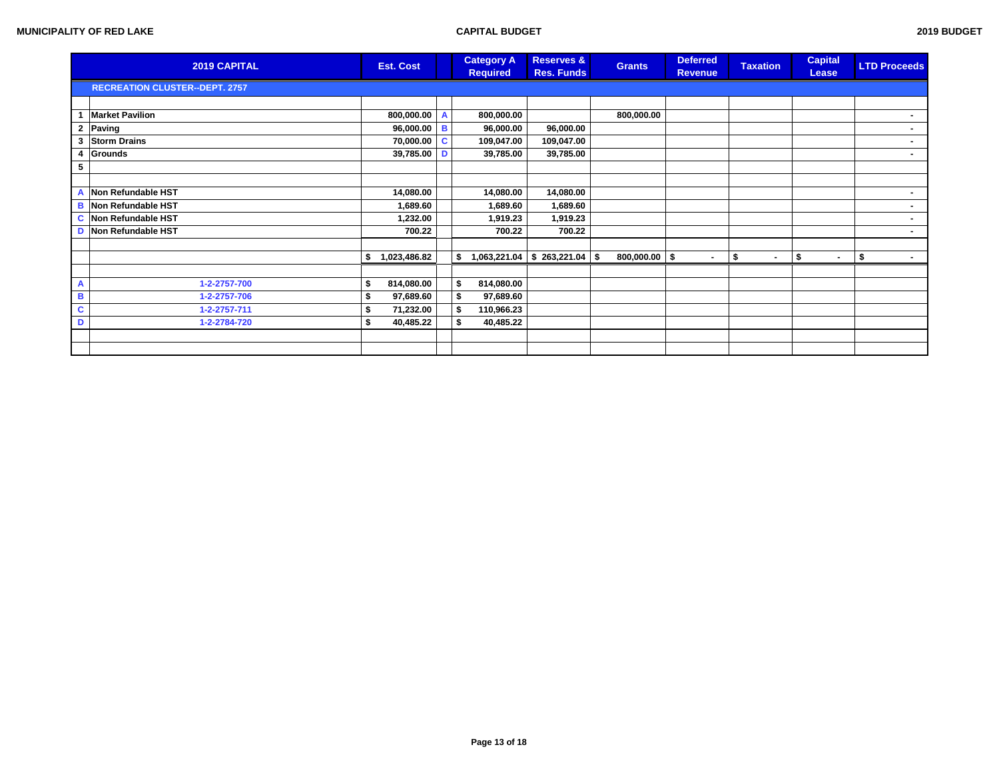| 2019 BUDGET |
|-------------|
|             |

|   | 2019 CAPITAL                          | <b>Est. Cost</b>   |   | <b>Category A</b><br><b>Required</b> | <b>Reserves &amp;</b><br><b>Res. Funds</b> | <b>Grants</b>   | <b>Deferred</b><br><b>Revenue</b> | <b>Taxation</b>      | <b>Capital</b><br>Lease | <b>LTD Proceeds</b> |
|---|---------------------------------------|--------------------|---|--------------------------------------|--------------------------------------------|-----------------|-----------------------------------|----------------------|-------------------------|---------------------|
|   | <b>RECREATION CLUSTER--DEPT. 2757</b> |                    |   |                                      |                                            |                 |                                   |                      |                         |                     |
|   |                                       |                    |   |                                      |                                            |                 |                                   |                      |                         |                     |
|   | <b>Market Pavilion</b>                | 800,000.00         |   | 800,000.00                           |                                            | 800,000.00      |                                   |                      |                         |                     |
| 2 | Paving                                | $96,000.00$ B      |   | 96,000.00                            | 96,000.00                                  |                 |                                   |                      |                         |                     |
|   | 3 Storm Drains                        | 70,000.00          | C | 109,047.00                           | 109,047.00                                 |                 |                                   |                      |                         |                     |
|   | 4 Grounds                             | 39,785.00          | D | 39,785.00                            | 39,785.00                                  |                 |                                   |                      |                         |                     |
| 5 |                                       |                    |   |                                      |                                            |                 |                                   |                      |                         |                     |
|   |                                       |                    |   |                                      |                                            |                 |                                   |                      |                         |                     |
|   | A Non Refundable HST                  | 14,080.00          |   | 14,080.00                            | 14,080.00                                  |                 |                                   |                      |                         | ۰.                  |
|   | <b>B</b> Non Refundable HST           | 1,689.60           |   | 1,689.60                             | 1,689.60                                   |                 |                                   |                      |                         | $\blacksquare$      |
|   | C Non Refundable HST                  | 1,232.00           |   | 1,919.23                             | 1,919.23                                   |                 |                                   |                      |                         |                     |
|   | D Non Refundable HST                  | 700.22             |   | 700.22                               | 700.22                                     |                 |                                   |                      |                         | $\blacksquare$      |
|   |                                       |                    |   |                                      |                                            |                 |                                   |                      |                         |                     |
|   |                                       | 1,023,486.82<br>\$ |   | \$                                   | $1,063,221.04$ \$ 263,221.04 \$            | $800,000.00$ \$ | $\sim$                            | \$<br>$\blacksquare$ | \$<br>$\sim$            | -\$<br>$\sim$       |
|   |                                       |                    |   |                                      |                                            |                 |                                   |                      |                         |                     |
| A | 1-2-2757-700                          | 814,080.00         |   | \$<br>814,080.00                     |                                            |                 |                                   |                      |                         |                     |
| в | 1-2-2757-706                          | 97,689.60          |   | 97,689.60<br>\$                      |                                            |                 |                                   |                      |                         |                     |
| C | 1-2-2757-711                          | 71,232.00          |   | 110,966.23<br>S.                     |                                            |                 |                                   |                      |                         |                     |
| D | 1-2-2784-720                          | 40,485.22<br>\$    |   | 40,485.22<br>\$                      |                                            |                 |                                   |                      |                         |                     |
|   |                                       |                    |   |                                      |                                            |                 |                                   |                      |                         |                     |
|   |                                       |                    |   |                                      |                                            |                 |                                   |                      |                         |                     |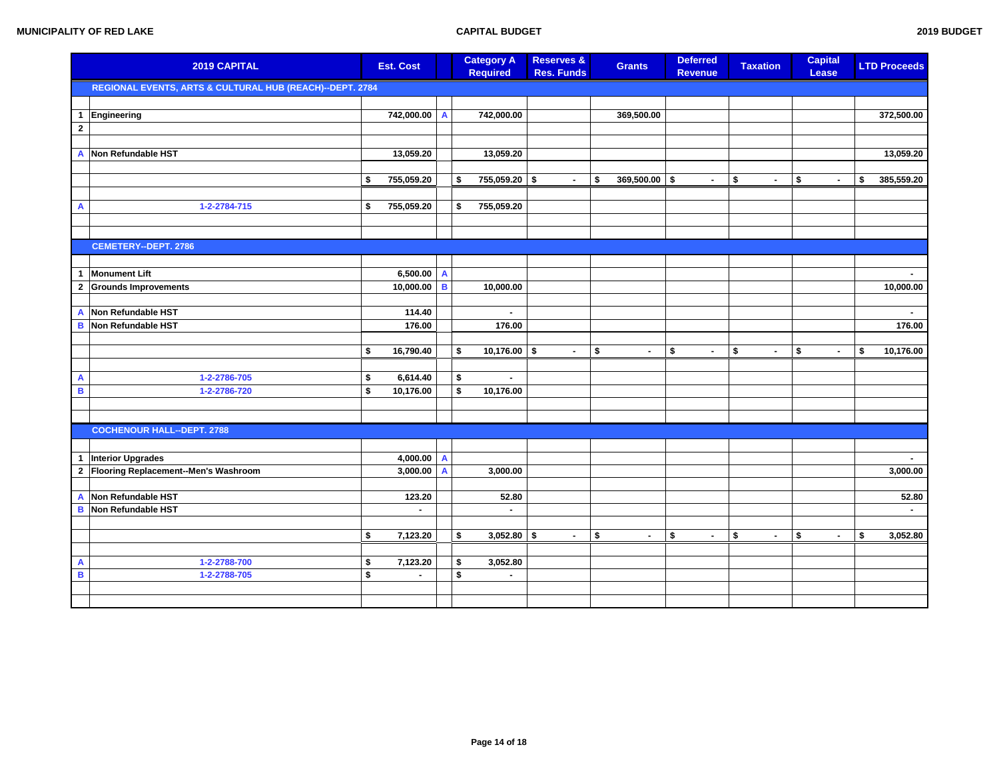|                     | 2019 CAPITAL                                             |          | <b>Est. Cost</b>           |                | <b>Category A</b><br><b>Required</b> | <b>Reserves &amp;</b><br><b>Res. Funds</b> | <b>Grants</b>        | <b>Deferred</b><br><b>Revenue</b> | <b>Taxation</b>      | <b>Capital</b><br>Lease | <b>LTD Proceeds</b> |
|---------------------|----------------------------------------------------------|----------|----------------------------|----------------|--------------------------------------|--------------------------------------------|----------------------|-----------------------------------|----------------------|-------------------------|---------------------|
|                     | REGIONAL EVENTS, ARTS & CULTURAL HUB (REACH)--DEPT. 2784 |          |                            |                |                                      |                                            |                      |                                   |                      |                         |                     |
|                     |                                                          |          |                            |                |                                      |                                            |                      |                                   |                      |                         |                     |
| $\mathbf{1}$        | Engineering                                              |          | 742,000.00 A               |                | 742,000.00                           |                                            | 369,500.00           |                                   |                      |                         | 372,500.00          |
| $\mathbf{2}$        |                                                          |          |                            |                |                                      |                                            |                      |                                   |                      |                         |                     |
| $\mathbf{A}$        | Non Refundable HST                                       |          | 13,059.20                  |                | 13,059.20                            |                                            |                      |                                   |                      |                         | 13,059.20           |
|                     |                                                          |          |                            |                |                                      |                                            |                      |                                   |                      |                         |                     |
|                     |                                                          | \$       | 755,059.20                 |                | 755,059.20<br>-\$                    | 5<br>$\sim$                                | \$<br>369,500.00     | -\$<br>$\sim$                     | \$<br>$\sim$         | \$<br>$\sim$            | \$<br>385,559.20    |
|                     |                                                          |          |                            |                |                                      |                                            |                      |                                   |                      |                         |                     |
| A                   | 1-2-2784-715                                             | \$       | 755,059.20                 |                | 755,059.20<br>\$                     |                                            |                      |                                   |                      |                         |                     |
|                     |                                                          |          |                            |                |                                      |                                            |                      |                                   |                      |                         |                     |
|                     | CEMETERY--DEPT. 2786                                     |          |                            |                |                                      |                                            |                      |                                   |                      |                         |                     |
|                     |                                                          |          |                            |                |                                      |                                            |                      |                                   |                      |                         |                     |
| 1                   | <b>Monument Lift</b>                                     |          | $6,500.00$ A               |                |                                      |                                            |                      |                                   |                      |                         | $\blacksquare$      |
| $\mathbf{2}$        | <b>Grounds Improvements</b>                              |          | 10,000.00                  | B              | 10,000.00                            |                                            |                      |                                   |                      |                         | 10,000.00           |
|                     |                                                          |          |                            |                |                                      |                                            |                      |                                   |                      |                         |                     |
| $\overline{A}$      | Non Refundable HST                                       |          | 114.40                     |                | $\blacksquare$                       |                                            |                      |                                   |                      |                         | $\sim$              |
| B                   | Non Refundable HST                                       |          | 176.00                     |                | 176.00                               |                                            |                      |                                   |                      |                         | 176.00              |
|                     |                                                          |          |                            |                |                                      |                                            |                      |                                   |                      |                         |                     |
|                     |                                                          | \$       | 16,790.40                  |                | 10,176.00<br>\$                      | \$<br>$\blacksquare$                       | \$<br>$\blacksquare$ | \$<br>$\blacksquare$              | \$<br>$\blacksquare$ | \$<br>$\sim$            | \$<br>10,176.00     |
| $\mathbf{A}$        | 1-2-2786-705                                             | \$       | 6,614.40                   |                | \$<br>$\blacksquare$                 |                                            |                      |                                   |                      |                         |                     |
| $\blacksquare$      | 1-2-2786-720                                             | \$       | 10,176.00                  |                | \$<br>10,176.00                      |                                            |                      |                                   |                      |                         |                     |
|                     |                                                          |          |                            |                |                                      |                                            |                      |                                   |                      |                         |                     |
|                     |                                                          |          |                            |                |                                      |                                            |                      |                                   |                      |                         |                     |
|                     | <b>COCHENOUR HALL--DEPT. 2788</b>                        |          |                            |                |                                      |                                            |                      |                                   |                      |                         |                     |
|                     |                                                          |          |                            |                |                                      |                                            |                      |                                   |                      |                         |                     |
| $\overline{1}$      | Interior Upgrades                                        |          | $4,000.00$ A               |                |                                      |                                            |                      |                                   |                      |                         | $\sim$              |
| $\mathbf{2}$        | Flooring Replacement--Men's Washroom                     |          | 3,000.00                   | $\overline{A}$ | 3,000.00                             |                                            |                      |                                   |                      |                         | 3,000.00            |
| $\mathbf{A}$        | Non Refundable HST                                       |          | 123.20                     |                | 52.80                                |                                            |                      |                                   |                      |                         | 52.80               |
| в                   | Non Refundable HST                                       |          | $\overline{\phantom{a}}$   |                | $\blacksquare$                       |                                            |                      |                                   |                      |                         | $\sim$              |
|                     |                                                          |          |                            |                |                                      |                                            |                      |                                   |                      |                         |                     |
|                     |                                                          | \$       | 7,123.20                   |                | \$<br>$3,052.80$ \$                  | $\blacksquare$                             | \$<br>$\sim$         | \$<br>$\sim$                      | \$<br>$\blacksquare$ | \$<br>$\blacksquare$    | \$<br>3,052.80      |
|                     |                                                          |          |                            |                |                                      |                                            |                      |                                   |                      |                         |                     |
| A<br>$\blacksquare$ | 1-2-2788-700                                             | \$<br>\$ | 7,123.20<br>$\overline{a}$ |                | \$<br>3,052.80<br>$\blacksquare$     |                                            |                      |                                   |                      |                         |                     |
|                     | 1-2-2788-705                                             |          |                            |                | \$                                   |                                            |                      |                                   |                      |                         |                     |
|                     |                                                          |          |                            |                |                                      |                                            |                      |                                   |                      |                         |                     |
|                     |                                                          |          |                            |                |                                      |                                            |                      |                                   |                      |                         |                     |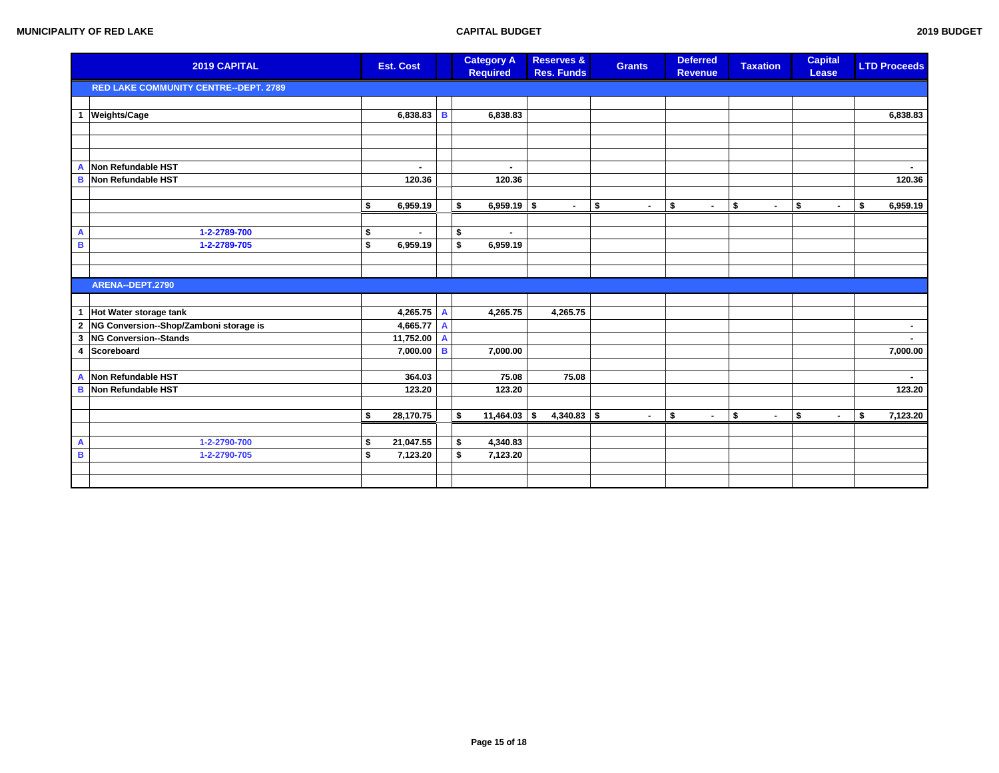|                         | 2019 CAPITAL                                 | <b>Est. Cost</b>     |                | <b>Category A</b><br><b>Required</b> | <b>Reserves &amp;</b><br><b>Res. Funds</b> | <b>Grants</b> |                | <b>Deferred</b><br><b>Revenue</b> | <b>Taxation</b>      | <b>Capital</b><br>Lease | <b>LTD Proceeds</b> |
|-------------------------|----------------------------------------------|----------------------|----------------|--------------------------------------|--------------------------------------------|---------------|----------------|-----------------------------------|----------------------|-------------------------|---------------------|
|                         | <b>RED LAKE COMMUNITY CENTRE--DEPT. 2789</b> |                      |                |                                      |                                            |               |                |                                   |                      |                         |                     |
|                         |                                              |                      |                |                                      |                                            |               |                |                                   |                      |                         |                     |
| $\mathbf{1}$            | <b>Weights/Cage</b>                          | $6,838.83$ B         |                | 6,838.83                             |                                            |               |                |                                   |                      |                         | 6,838.83            |
|                         |                                              |                      |                |                                      |                                            |               |                |                                   |                      |                         |                     |
|                         |                                              |                      |                |                                      |                                            |               |                |                                   |                      |                         |                     |
|                         |                                              |                      |                |                                      |                                            |               |                |                                   |                      |                         |                     |
|                         | A Non Refundable HST                         | $\overline{a}$       |                | $\blacksquare$                       |                                            |               |                |                                   |                      |                         |                     |
|                         | <b>B</b> Non Refundable HST                  | 120.36               |                | 120.36                               |                                            |               |                |                                   |                      |                         | 120.36              |
|                         |                                              |                      |                |                                      |                                            |               |                |                                   |                      |                         |                     |
|                         |                                              | \$<br>6,959.19       |                | \$<br>$6,959.19$ \$                  | $\sim$                                     | \$            | $\blacksquare$ | \$<br>$\blacksquare$              | \$<br>$\blacksquare$ | \$<br>$\blacksquare$    | \$<br>6,959.19      |
|                         |                                              |                      |                |                                      |                                            |               |                |                                   |                      |                         |                     |
| A                       | 1-2-2789-700                                 | \$<br>$\blacksquare$ |                | \$<br>$\blacksquare$                 |                                            |               |                |                                   |                      |                         |                     |
| $\overline{\mathbf{B}}$ | 1-2-2789-705                                 | \$<br>6,959.19       |                | \$<br>6,959.19                       |                                            |               |                |                                   |                      |                         |                     |
|                         |                                              |                      |                |                                      |                                            |               |                |                                   |                      |                         |                     |
|                         |                                              |                      |                |                                      |                                            |               |                |                                   |                      |                         |                     |
|                         | ARENA--DEPT.2790                             |                      |                |                                      |                                            |               |                |                                   |                      |                         |                     |
|                         |                                              |                      |                |                                      |                                            |               |                |                                   |                      |                         |                     |
| $\mathbf{1}$            | Hot Water storage tank                       | 4,265.75 A           |                | 4,265.75                             | 4,265.75                                   |               |                |                                   |                      |                         |                     |
|                         | 2 NG Conversion--Shop/Zamboni storage is     | 4,665.77             | $\overline{A}$ |                                      |                                            |               |                |                                   |                      |                         | ۰.                  |
| $\mathbf{3}$            | NG Conversion--Stands                        | 11,752.00 A          |                |                                      |                                            |               |                |                                   |                      |                         |                     |
| 4                       | Scoreboard                                   | 7,000.00             | B              | 7,000.00                             |                                            |               |                |                                   |                      |                         | 7,000.00            |
|                         |                                              |                      |                |                                      |                                            |               |                |                                   |                      |                         |                     |
| A                       | Non Refundable HST                           | 364.03               |                | 75.08                                | 75.08                                      |               |                |                                   |                      |                         | $\blacksquare$      |
| В                       | Non Refundable HST                           | 123.20               |                | 123.20                               |                                            |               |                |                                   |                      |                         | 123.20              |
|                         |                                              |                      |                |                                      |                                            |               |                |                                   |                      |                         |                     |
|                         |                                              | \$<br>28,170.75      |                | $11,464.03$ \$<br>\$                 | $4,340.83$ \$                              |               | $\blacksquare$ | \$<br>$\blacksquare$              | \$<br>$\blacksquare$ | \$<br>$\sim$            | \$<br>7,123.20      |
| A                       | 1-2-2790-700                                 | \$                   |                | \$                                   |                                            |               |                |                                   |                      |                         |                     |
| $\, {\bf B}$            |                                              | \$<br>21,047.55      |                | 4,340.83<br>\$                       |                                            |               |                |                                   |                      |                         |                     |
|                         | 1-2-2790-705                                 | 7,123.20             |                | 7,123.20                             |                                            |               |                |                                   |                      |                         |                     |
|                         |                                              |                      |                |                                      |                                            |               |                |                                   |                      |                         |                     |
|                         |                                              |                      |                |                                      |                                            |               |                |                                   |                      |                         |                     |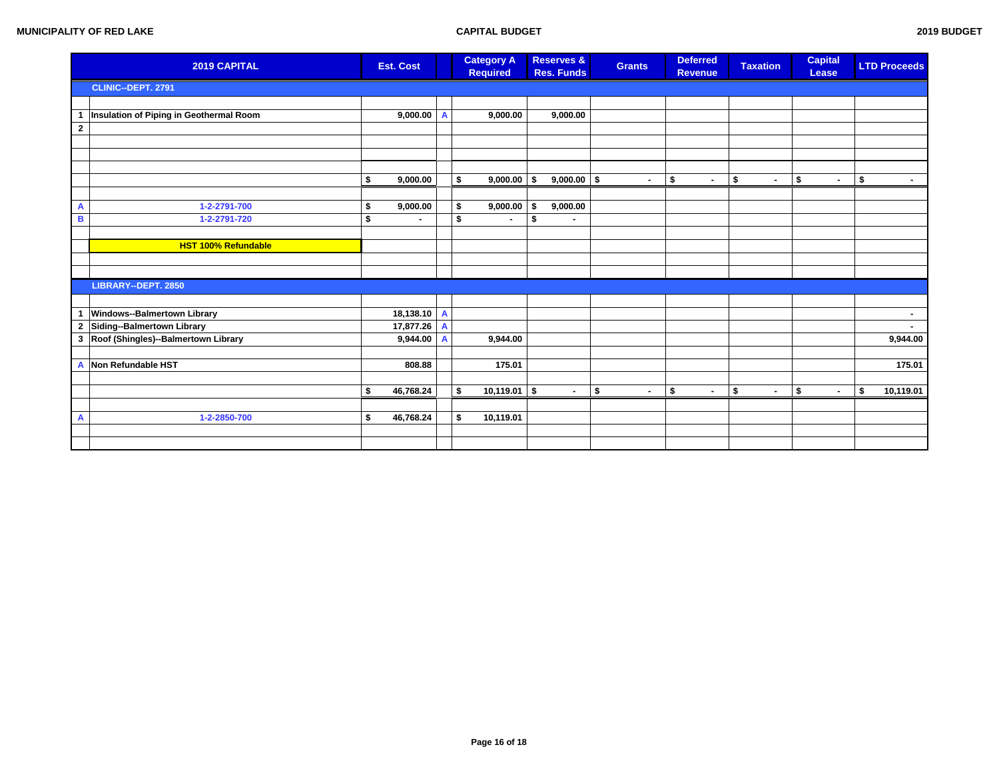|                         | 2019 CAPITAL                            | <b>Est. Cost</b> |              | <b>Category A</b><br><b>Required</b> |                |      | <b>Reserves &amp;</b><br><b>Res. Funds</b> | <b>Grants</b> | <b>Deferred</b><br><b>Revenue</b> |                | <b>Taxation</b> |        | <b>Capital</b><br>Lease |        | <b>LTD Proceeds</b> |
|-------------------------|-----------------------------------------|------------------|--------------|--------------------------------------|----------------|------|--------------------------------------------|---------------|-----------------------------------|----------------|-----------------|--------|-------------------------|--------|---------------------|
|                         | CLINIC--DEPT. 2791                      |                  |              |                                      |                |      |                                            |               |                                   |                |                 |        |                         |        |                     |
|                         |                                         |                  |              |                                      |                |      |                                            |               |                                   |                |                 |        |                         |        |                     |
| $\mathbf{1}$            | Insulation of Piping in Geothermal Room | $9,000.00$ A     |              |                                      | 9,000.00       |      | 9,000.00                                   |               |                                   |                |                 |        |                         |        |                     |
| $\mathbf{2}$            |                                         |                  |              |                                      |                |      |                                            |               |                                   |                |                 |        |                         |        |                     |
|                         |                                         |                  |              |                                      |                |      |                                            |               |                                   |                |                 |        |                         |        |                     |
|                         |                                         |                  |              |                                      |                |      |                                            |               |                                   |                |                 |        |                         |        |                     |
|                         |                                         |                  |              |                                      |                |      |                                            |               |                                   |                |                 |        |                         |        |                     |
|                         |                                         | \$<br>9,000.00   |              | \$                                   | 9,000.00       | ا \$ | $9,000.00$ \$                              | $\sim$        | \$                                | $\blacksquare$ | \$              | $\sim$ | \$                      | $\sim$ | \$<br>$\sim$        |
|                         |                                         |                  |              |                                      |                |      |                                            |               |                                   |                |                 |        |                         |        |                     |
| A                       | 1-2-2791-700                            | \$<br>9,000.00   |              | \$                                   | 9,000.00       | -\$  | 9,000.00                                   |               |                                   |                |                 |        |                         |        |                     |
| B                       | 1-2-2791-720                            | \$               |              | \$                                   | $\blacksquare$ | \$   |                                            |               |                                   |                |                 |        |                         |        |                     |
|                         |                                         |                  |              |                                      |                |      |                                            |               |                                   |                |                 |        |                         |        |                     |
|                         | <b>HST 100% Refundable</b>              |                  |              |                                      |                |      |                                            |               |                                   |                |                 |        |                         |        |                     |
|                         |                                         |                  |              |                                      |                |      |                                            |               |                                   |                |                 |        |                         |        |                     |
|                         |                                         |                  |              |                                      |                |      |                                            |               |                                   |                |                 |        |                         |        |                     |
|                         | LIBRARY--DEPT. 2850                     |                  |              |                                      |                |      |                                            |               |                                   |                |                 |        |                         |        |                     |
|                         |                                         |                  |              |                                      |                |      |                                            |               |                                   |                |                 |        |                         |        |                     |
| $\mathbf{1}$            | Windows--Balmertown Library             | 18,138.10 A      |              |                                      |                |      |                                            |               |                                   |                |                 |        |                         |        | $\sim$              |
| $\overline{\mathbf{2}}$ | Siding--Balmertown Library              | 17,877.26        | $\mathbf{A}$ |                                      |                |      |                                            |               |                                   |                |                 |        |                         |        | $\blacksquare$      |
| $\mathbf{3}$            | Roof (Shingles)--Balmertown Library     | 9,944.00         | $\mathbf{A}$ |                                      | 9,944.00       |      |                                            |               |                                   |                |                 |        |                         |        | 9,944.00            |
|                         |                                         |                  |              |                                      |                |      |                                            |               |                                   |                |                 |        |                         |        |                     |
| A                       | Non Refundable HST                      | 808.88           |              |                                      | 175.01         |      |                                            |               |                                   |                |                 |        |                         |        | 175.01              |
|                         |                                         |                  |              |                                      |                |      |                                            |               |                                   |                |                 |        |                         |        |                     |
|                         |                                         | \$<br>46,768.24  |              | $10,119.01$ \$<br>\$                 |                |      | $\sim$                                     | \$<br>$\sim$  | \$                                | $\blacksquare$ | \$              | $\sim$ | \$                      | $\sim$ | \$<br>10,119.01     |
|                         |                                         |                  |              |                                      |                |      |                                            |               |                                   |                |                 |        |                         |        |                     |
| A                       | 1-2-2850-700                            | \$<br>46,768.24  |              | \$<br>10,119.01                      |                |      |                                            |               |                                   |                |                 |        |                         |        |                     |
|                         |                                         |                  |              |                                      |                |      |                                            |               |                                   |                |                 |        |                         |        |                     |
|                         |                                         |                  |              |                                      |                |      |                                            |               |                                   |                |                 |        |                         |        |                     |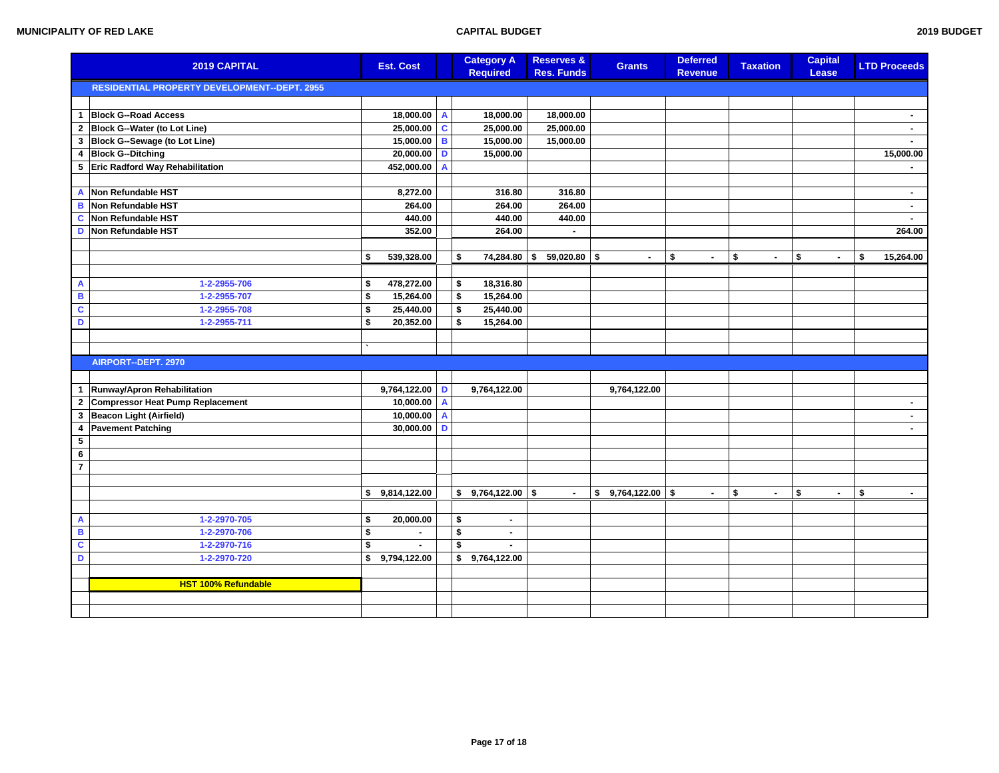| 2019 CAPITAL            |                                                     | <b>Est. Cost</b>     |                | <b>Category A</b><br><b>Required</b> | Reserves &<br><b>Res. Funds</b> | <b>Grants</b>           | <b>Deferred</b><br><b>Revenue</b> | <b>Taxation</b> |                | <b>Capital</b><br>Lease | <b>LTD Proceeds</b> |
|-------------------------|-----------------------------------------------------|----------------------|----------------|--------------------------------------|---------------------------------|-------------------------|-----------------------------------|-----------------|----------------|-------------------------|---------------------|
|                         | <b>RESIDENTIAL PROPERTY DEVELOPMENT--DEPT. 2955</b> |                      |                |                                      |                                 |                         |                                   |                 |                |                         |                     |
|                         |                                                     |                      |                |                                      |                                 |                         |                                   |                 |                |                         |                     |
| $\mathbf{1}$            | <b>Block G--Road Access</b>                         | 18,000.00 A          |                | 18,000.00                            | 18,000.00                       |                         |                                   |                 |                |                         | $\sim$              |
| $\mathbf{2}$            | <b>Block G--Water (to Lot Line)</b>                 | $25,000.00$ C        |                | 25,000.00                            | 25,000.00                       |                         |                                   |                 |                |                         | $\sim$              |
| $\mathbf{3}$            | Block G--Sewage (to Lot Line)                       | 15,000.00 B          |                | 15,000.00                            | 15,000.00                       |                         |                                   |                 |                |                         | $\sim$              |
| 4                       | <b>Block G--Ditching</b>                            | $20,000.00$ D        |                | 15,000.00                            |                                 |                         |                                   |                 |                |                         | 15,000.00           |
| 5                       | Eric Radford Way Rehabilitation                     | 452,000.00           | $\overline{A}$ |                                      |                                 |                         |                                   |                 |                |                         |                     |
|                         |                                                     |                      |                |                                      |                                 |                         |                                   |                 |                |                         |                     |
| A                       | Non Refundable HST                                  | 8,272.00             |                | 316.80                               | 316.80                          |                         |                                   |                 |                |                         | $\blacksquare$      |
| B                       | Non Refundable HST                                  | 264.00               |                | 264.00                               | 264.00                          |                         |                                   |                 |                |                         | $\sim$              |
| $\mathbf c$             | Non Refundable HST                                  | 440.00               |                | 440.00                               | 440.00                          |                         |                                   |                 |                |                         |                     |
| D                       | Non Refundable HST                                  | 352.00               |                | 264.00                               | $\blacksquare$                  |                         |                                   |                 |                |                         | 264.00              |
|                         |                                                     |                      |                |                                      |                                 |                         |                                   |                 |                |                         |                     |
|                         |                                                     | \$<br>539,328.00     |                | \$<br>74,284.80 \$                   | $59,020.80$ \$                  | $\blacksquare$          | \$                                | \$              | $\blacksquare$ | \$                      | \$<br>15,264.00     |
|                         |                                                     |                      |                |                                      |                                 |                         |                                   |                 |                |                         |                     |
| $\mathbf{A}$            | 1-2-2955-706                                        | \$<br>478,272.00     |                | \$<br>18,316.80                      |                                 |                         |                                   |                 |                |                         |                     |
| $\, {\bf B}$            | 1-2-2955-707                                        | \$<br>15,264.00      |                | \$<br>15,264.00                      |                                 |                         |                                   |                 |                |                         |                     |
| $\overline{\mathbf{c}}$ | 1-2-2955-708                                        | \$<br>25,440.00      |                | \$<br>25,440.00                      |                                 |                         |                                   |                 |                |                         |                     |
| D                       | 1-2-2955-711                                        | \$<br>20,352.00      |                | \$<br>15,264.00                      |                                 |                         |                                   |                 |                |                         |                     |
|                         |                                                     |                      |                |                                      |                                 |                         |                                   |                 |                |                         |                     |
|                         |                                                     |                      |                |                                      |                                 |                         |                                   |                 |                |                         |                     |
|                         | AIRPORT--DEPT. 2970                                 |                      |                |                                      |                                 |                         |                                   |                 |                |                         |                     |
|                         |                                                     |                      |                |                                      |                                 |                         |                                   |                 |                |                         |                     |
| $\mathbf{1}$            | Runway/Apron Rehabilitation                         | $9,764,122.00$ D     |                | 9,764,122.00                         |                                 | 9,764,122.00            |                                   |                 |                |                         |                     |
| $\mathbf{2}$            | Compressor Heat Pump Replacement                    | $10,000.00$ A        |                |                                      |                                 |                         |                                   |                 |                |                         | $\sim$              |
| 3                       | Beacon Light (Airfield)                             | $10,000.00$ A        |                |                                      |                                 |                         |                                   |                 |                |                         | $\sim$              |
| 4                       | <b>Pavement Patching</b>                            | $30,000.00$ D        |                |                                      |                                 |                         |                                   |                 |                |                         | $\sim$              |
| $\overline{5}$          |                                                     |                      |                |                                      |                                 |                         |                                   |                 |                |                         |                     |
| $\bf 6$                 |                                                     |                      |                |                                      |                                 |                         |                                   |                 |                |                         |                     |
| $\overline{7}$          |                                                     |                      |                |                                      |                                 |                         |                                   |                 |                |                         |                     |
|                         |                                                     |                      |                |                                      |                                 |                         |                                   |                 |                |                         |                     |
|                         |                                                     | \$<br>9,814,122.00   |                | \$<br>$9,764,122.00$ \$              |                                 | \$<br>$9,764,122.00$ \$ | $\blacksquare$                    | \$              | $\blacksquare$ | \$<br>$\blacksquare$    | \$<br>$\sim$        |
|                         |                                                     |                      |                |                                      |                                 |                         |                                   |                 |                |                         |                     |
| $\mathbf{A}$            | 1-2-2970-705                                        | \$<br>20,000.00      |                | \$<br>$\blacksquare$                 |                                 |                         |                                   |                 |                |                         |                     |
| B                       | 1-2-2970-706                                        | \$<br>$\blacksquare$ |                | \$<br>$\blacksquare$                 |                                 |                         |                                   |                 |                |                         |                     |
| $\overline{\mathbf{c}}$ | 1-2-2970-716                                        | \$<br>$\blacksquare$ |                | \$<br>$\blacksquare$                 |                                 |                         |                                   |                 |                |                         |                     |
| D                       | 1-2-2970-720                                        | \$9,794,122.00       |                | \$<br>9,764,122.00                   |                                 |                         |                                   |                 |                |                         |                     |
|                         |                                                     |                      |                |                                      |                                 |                         |                                   |                 |                |                         |                     |
|                         | <b>HST 100% Refundable</b>                          |                      |                |                                      |                                 |                         |                                   |                 |                |                         |                     |
|                         |                                                     |                      |                |                                      |                                 |                         |                                   |                 |                |                         |                     |
|                         |                                                     |                      |                |                                      |                                 |                         |                                   |                 |                |                         |                     |